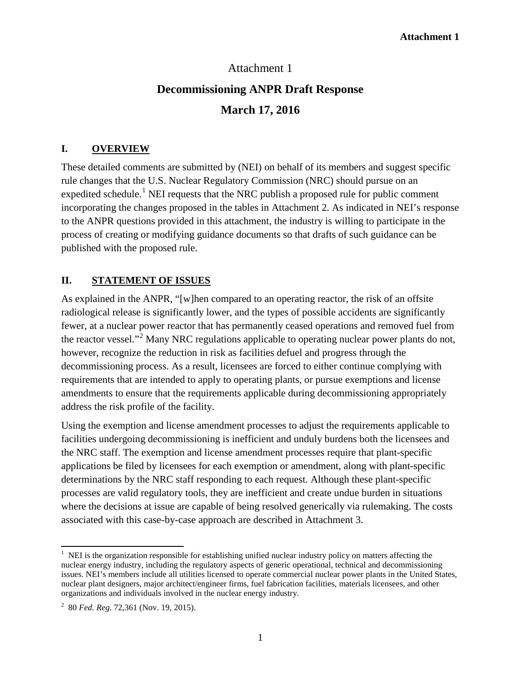### Attachment 1

# **Decommissioning ANPR Draft Response March 17, 2016**

#### **I. OVERVIEW**

These detailed comments are submitted by (NEI) on behalf of its members and suggest specific rule changes that the U.S. Nuclear Regulatory Commission (NRC) should pursue on an expedited schedule.<sup>[1](#page-0-0)</sup> NEI requests that the NRC publish a proposed rule for public comment incorporating the changes proposed in the tables in Attachment 2. As indicated in NEI's response to the ANPR questions provided in this attachment, the industry is willing to participate in the process of creating or modifying guidance documents so that drafts of such guidance can be published with the proposed rule.

### **II. STATEMENT OF ISSUES**

As explained in the ANPR, "[w]hen compared to an operating reactor, the risk of an offsite radiological release is significantly lower, and the types of possible accidents are significantly fewer, at a nuclear power reactor that has permanently ceased operations and removed fuel from the reactor vessel."[2](#page-0-1) Many NRC regulations applicable to operating nuclear power plants do not, however, recognize the reduction in risk as facilities defuel and progress through the decommissioning process. As a result, licensees are forced to either continue complying with requirements that are intended to apply to operating plants, or pursue exemptions and license amendments to ensure that the requirements applicable during decommissioning appropriately address the risk profile of the facility.

Using the exemption and license amendment processes to adjust the requirements applicable to facilities undergoing decommissioning is inefficient and unduly burdens both the licensees and the NRC staff. The exemption and license amendment processes require that plant-specific applications be filed by licensees for each exemption or amendment, along with plant-specific determinations by the NRC staff responding to each request. Although these plant-specific processes are valid regulatory tools, they are inefficient and create undue burden in situations where the decisions at issue are capable of being resolved generically via rulemaking. The costs associated with this case-by-case approach are described in Attachment 3.

<span id="page-0-0"></span><sup>|&</sup>lt;br>| <sup>1</sup> NEI is the organization responsible for establishing unified nuclear industry policy on matters affecting the nuclear energy industry, including the regulatory aspects of generic operational, technical and decommissioning issues. NEI's members include all utilities licensed to operate commercial nuclear power plants in the United States, nuclear plant designers, major architect/engineer firms, fuel fabrication facilities, materials licensees, and other organizations and individuals involved in the nuclear energy industry.

<span id="page-0-1"></span><sup>2</sup> 80 *Fed. Reg*. 72,361 (Nov. 19, 2015).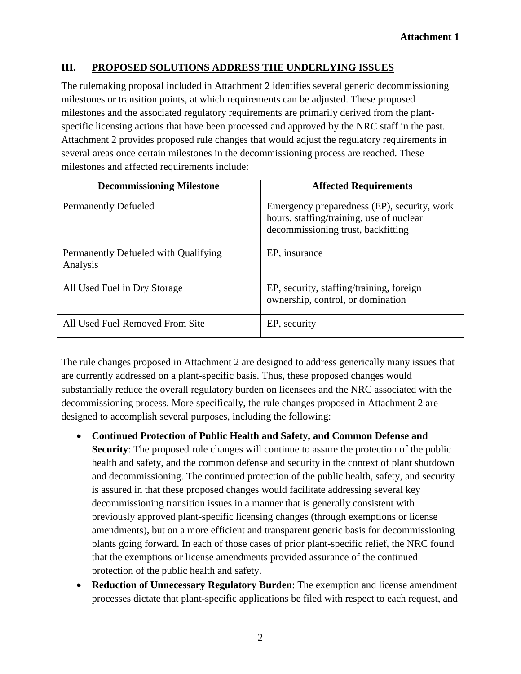### **III. PROPOSED SOLUTIONS ADDRESS THE UNDERLYING ISSUES**

The rulemaking proposal included in Attachment 2 identifies several generic decommissioning milestones or transition points, at which requirements can be adjusted. These proposed milestones and the associated regulatory requirements are primarily derived from the plantspecific licensing actions that have been processed and approved by the NRC staff in the past. Attachment 2 provides proposed rule changes that would adjust the regulatory requirements in several areas once certain milestones in the decommissioning process are reached. These milestones and affected requirements include:

| <b>Decommissioning Milestone</b>                 | <b>Affected Requirements</b>                                                                                                  |
|--------------------------------------------------|-------------------------------------------------------------------------------------------------------------------------------|
| <b>Permanently Defueled</b>                      | Emergency preparedness (EP), security, work<br>hours, staffing/training, use of nuclear<br>decommissioning trust, backfitting |
| Permanently Defueled with Qualifying<br>Analysis | EP, insurance                                                                                                                 |
| All Used Fuel in Dry Storage                     | EP, security, staffing/training, foreign<br>ownership, control, or domination                                                 |
| All Used Fuel Removed From Site                  | EP, security                                                                                                                  |

The rule changes proposed in Attachment 2 are designed to address generically many issues that are currently addressed on a plant-specific basis. Thus, these proposed changes would substantially reduce the overall regulatory burden on licensees and the NRC associated with the decommissioning process. More specifically, the rule changes proposed in Attachment 2 are designed to accomplish several purposes, including the following:

- **Continued Protection of Public Health and Safety, and Common Defense and Security**: The proposed rule changes will continue to assure the protection of the public health and safety, and the common defense and security in the context of plant shutdown and decommissioning. The continued protection of the public health, safety, and security is assured in that these proposed changes would facilitate addressing several key decommissioning transition issues in a manner that is generally consistent with previously approved plant-specific licensing changes (through exemptions or license amendments), but on a more efficient and transparent generic basis for decommissioning plants going forward. In each of those cases of prior plant-specific relief, the NRC found that the exemptions or license amendments provided assurance of the continued protection of the public health and safety.
- **Reduction of Unnecessary Regulatory Burden**: The exemption and license amendment processes dictate that plant-specific applications be filed with respect to each request, and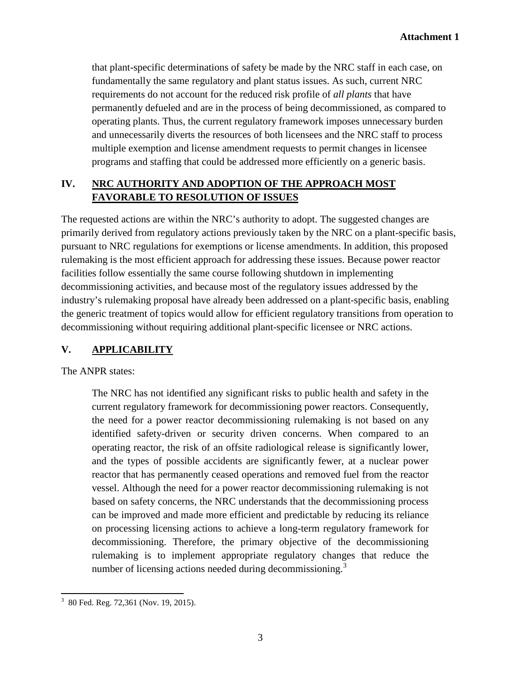that plant-specific determinations of safety be made by the NRC staff in each case, on fundamentally the same regulatory and plant status issues. As such, current NRC requirements do not account for the reduced risk profile of *all plants* that have permanently defueled and are in the process of being decommissioned, as compared to operating plants. Thus, the current regulatory framework imposes unnecessary burden and unnecessarily diverts the resources of both licensees and the NRC staff to process multiple exemption and license amendment requests to permit changes in licensee programs and staffing that could be addressed more efficiently on a generic basis.

# **IV. NRC AUTHORITY AND ADOPTION OF THE APPROACH MOST FAVORABLE TO RESOLUTION OF ISSUES**

The requested actions are within the NRC's authority to adopt. The suggested changes are primarily derived from regulatory actions previously taken by the NRC on a plant-specific basis, pursuant to NRC regulations for exemptions or license amendments. In addition, this proposed rulemaking is the most efficient approach for addressing these issues. Because power reactor facilities follow essentially the same course following shutdown in implementing decommissioning activities, and because most of the regulatory issues addressed by the industry's rulemaking proposal have already been addressed on a plant-specific basis, enabling the generic treatment of topics would allow for efficient regulatory transitions from operation to decommissioning without requiring additional plant-specific licensee or NRC actions.

### **V. APPLICABILITY**

The ANPR states:

The NRC has not identified any significant risks to public health and safety in the current regulatory framework for decommissioning power reactors. Consequently, the need for a power reactor decommissioning rulemaking is not based on any identified safety-driven or security driven concerns. When compared to an operating reactor, the risk of an offsite radiological release is significantly lower, and the types of possible accidents are significantly fewer, at a nuclear power reactor that has permanently ceased operations and removed fuel from the reactor vessel. Although the need for a power reactor decommissioning rulemaking is not based on safety concerns, the NRC understands that the decommissioning process can be improved and made more efficient and predictable by reducing its reliance on processing licensing actions to achieve a long-term regulatory framework for decommissioning. Therefore, the primary objective of the decommissioning rulemaking is to implement appropriate regulatory changes that reduce the number of licensing actions needed during decommissioning.<sup>[3](#page-2-0)</sup>

<span id="page-2-0"></span>3  $3\,$  80 Fed. Reg. 72,361 (Nov. 19, 2015).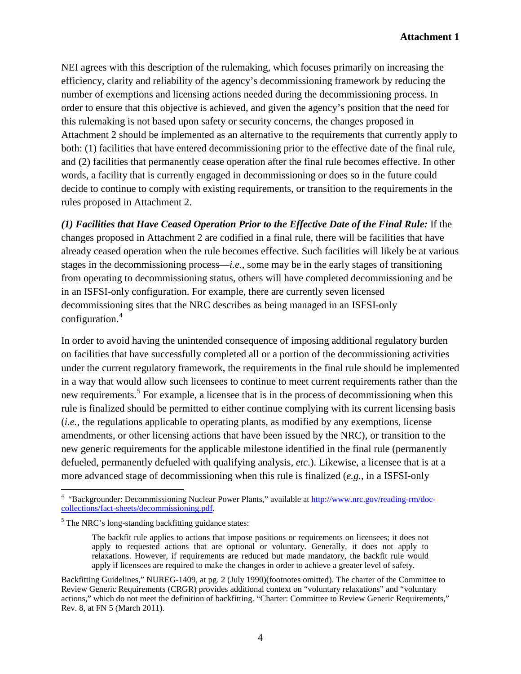NEI agrees with this description of the rulemaking, which focuses primarily on increasing the efficiency, clarity and reliability of the agency's decommissioning framework by reducing the number of exemptions and licensing actions needed during the decommissioning process. In order to ensure that this objective is achieved, and given the agency's position that the need for this rulemaking is not based upon safety or security concerns, the changes proposed in Attachment 2 should be implemented as an alternative to the requirements that currently apply to both: (1) facilities that have entered decommissioning prior to the effective date of the final rule, and (2) facilities that permanently cease operation after the final rule becomes effective. In other words, a facility that is currently engaged in decommissioning or does so in the future could decide to continue to comply with existing requirements, or transition to the requirements in the rules proposed in Attachment 2.

*(1) Facilities that Have Ceased Operation Prior to the Effective Date of the Final Rule:* If the changes proposed in Attachment 2 are codified in a final rule, there will be facilities that have already ceased operation when the rule becomes effective. Such facilities will likely be at various stages in the decommissioning process—*i.e.*, some may be in the early stages of transitioning from operating to decommissioning status, others will have completed decommissioning and be in an ISFSI-only configuration. For example, there are currently seven licensed decommissioning sites that the NRC describes as being managed in an ISFSI-only configuration.[4](#page-3-0)

In order to avoid having the unintended consequence of imposing additional regulatory burden on facilities that have successfully completed all or a portion of the decommissioning activities under the current regulatory framework, the requirements in the final rule should be implemented in a way that would allow such licensees to continue to meet current requirements rather than the new requirements.<sup>[5](#page-3-1)</sup> For example, a licensee that is in the process of decommissioning when this rule is finalized should be permitted to either continue complying with its current licensing basis (*i.e.*, the regulations applicable to operating plants, as modified by any exemptions, license amendments, or other licensing actions that have been issued by the NRC), or transition to the new generic requirements for the applicable milestone identified in the final rule (permanently defueled, permanently defueled with qualifying analysis, *etc*.). Likewise, a licensee that is at a more advanced stage of decommissioning when this rule is finalized (*e.g.*, in a ISFSI-only

<span id="page-3-0"></span> $\frac{1}{4}$ <sup>4</sup> "Backgrounder: Decommissioning Nuclear Power Plants," available at [http://www.nrc.gov/reading-rm/doc](http://www.nrc.gov/reading-rm/doc-collections/fact-sheets/decommissioning.pdf)[collections/fact-sheets/decommissioning.pdf.](http://www.nrc.gov/reading-rm/doc-collections/fact-sheets/decommissioning.pdf)

<span id="page-3-1"></span><sup>&</sup>lt;sup>5</sup> The NRC's long-standing backfitting guidance states:

The backfit rule applies to actions that impose positions or requirements on licensees; it does not apply to requested actions that are optional or voluntary. Generally, it does not apply to relaxations. However, if requirements are reduced but made mandatory, the backfit rule would apply if licensees are required to make the changes in order to achieve a greater level of safety.

Backfitting Guidelines," NUREG-1409, at pg. 2 (July 1990)(footnotes omitted). The charter of the Committee to Review Generic Requirements (CRGR) provides additional context on "voluntary relaxations" and "voluntary actions," which do not meet the definition of backfitting. "Charter: Committee to Review Generic Requirements," Rev. 8, at FN 5 (March 2011).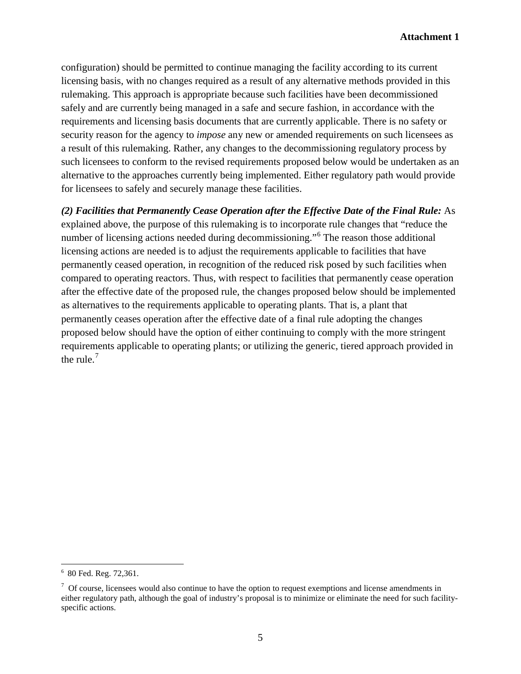configuration) should be permitted to continue managing the facility according to its current licensing basis, with no changes required as a result of any alternative methods provided in this rulemaking. This approach is appropriate because such facilities have been decommissioned safely and are currently being managed in a safe and secure fashion, in accordance with the requirements and licensing basis documents that are currently applicable. There is no safety or security reason for the agency to *impose* any new or amended requirements on such licensees as a result of this rulemaking. Rather, any changes to the decommissioning regulatory process by such licensees to conform to the revised requirements proposed below would be undertaken as an alternative to the approaches currently being implemented. Either regulatory path would provide for licensees to safely and securely manage these facilities.

*(2) Facilities that Permanently Cease Operation after the Effective Date of the Final Rule:* As explained above, the purpose of this rulemaking is to incorporate rule changes that "reduce the number of licensing actions needed during decommissioning."<sup>[6](#page-4-0)</sup> The reason those additional licensing actions are needed is to adjust the requirements applicable to facilities that have permanently ceased operation, in recognition of the reduced risk posed by such facilities when compared to operating reactors. Thus, with respect to facilities that permanently cease operation after the effective date of the proposed rule, the changes proposed below should be implemented as alternatives to the requirements applicable to operating plants. That is, a plant that permanently ceases operation after the effective date of a final rule adopting the changes proposed below should have the option of either continuing to comply with the more stringent requirements applicable to operating plants; or utilizing the generic, tiered approach provided in the rule. $<sup>7</sup>$  $<sup>7</sup>$  $<sup>7</sup>$ </sup>

<span id="page-4-0"></span><sup>6</sup> 80 Fed. Reg. 72,361.

<span id="page-4-1"></span> $7$  Of course, licensees would also continue to have the option to request exemptions and license amendments in either regulatory path, although the goal of industry's proposal is to minimize or eliminate the need for such facilityspecific actions.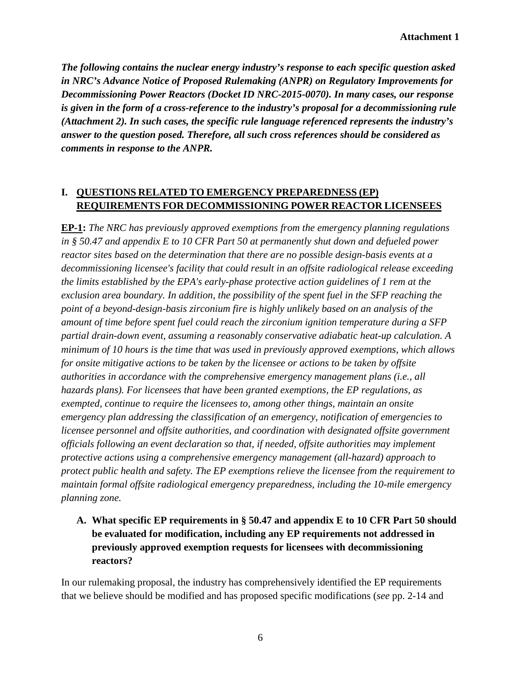*The following contains the nuclear energy industry's response to each specific question asked in NRC's Advance Notice of Proposed Rulemaking (ANPR) on Regulatory Improvements for Decommissioning Power Reactors (Docket ID NRC-2015-0070). In many cases, our response is given in the form of a cross-reference to the industry's proposal for a decommissioning rule (Attachment 2). In such cases, the specific rule language referenced represents the industry's answer to the question posed. Therefore, all such cross references should be considered as comments in response to the ANPR.*

# **I. QUESTIONS RELATED TO EMERGENCY PREPAREDNESS (EP) REQUIREMENTS FOR DECOMMISSIONING POWER REACTOR LICENSEES**

**EP-1:** *The NRC has previously approved exemptions from the emergency planning regulations in § 50.47 and appendix E to 10 CFR Part 50 at permanently shut down and defueled power reactor sites based on the determination that there are no possible design-basis events at a decommissioning licensee's facility that could result in an offsite radiological release exceeding the limits established by the EPA's early-phase protective action guidelines of 1 rem at the exclusion area boundary. In addition, the possibility of the spent fuel in the SFP reaching the point of a beyond-design-basis zirconium fire is highly unlikely based on an analysis of the amount of time before spent fuel could reach the zirconium ignition temperature during a SFP partial drain-down event, assuming a reasonably conservative adiabatic heat-up calculation. A minimum of 10 hours is the time that was used in previously approved exemptions, which allows for onsite mitigative actions to be taken by the licensee or actions to be taken by offsite authorities in accordance with the comprehensive emergency management plans (i.e., all hazards plans). For licensees that have been granted exemptions, the EP regulations, as exempted, continue to require the licensees to, among other things, maintain an onsite emergency plan addressing the classification of an emergency, notification of emergencies to licensee personnel and offsite authorities, and coordination with designated offsite government officials following an event declaration so that, if needed, offsite authorities may implement protective actions using a comprehensive emergency management (all-hazard) approach to protect public health and safety. The EP exemptions relieve the licensee from the requirement to maintain formal offsite radiological emergency preparedness, including the 10-mile emergency planning zone.*

**A. What specific EP requirements in § 50.47 and appendix E to 10 CFR Part 50 should be evaluated for modification, including any EP requirements not addressed in previously approved exemption requests for licensees with decommissioning reactors?**

In our rulemaking proposal, the industry has comprehensively identified the EP requirements that we believe should be modified and has proposed specific modifications (*see* pp. 2-14 and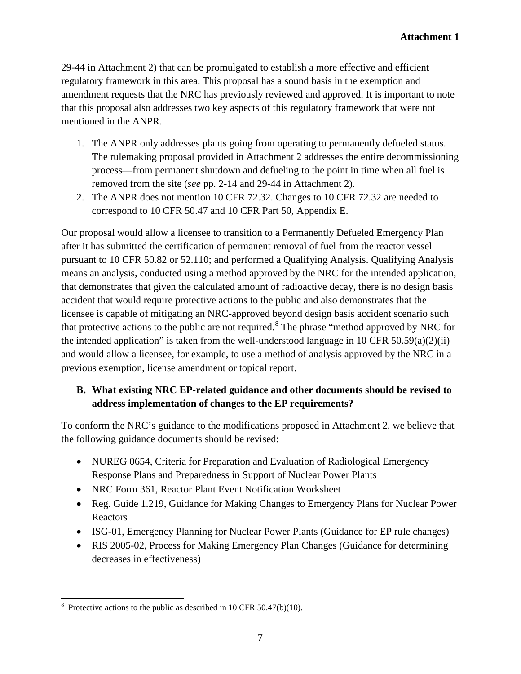29-44 in Attachment 2) that can be promulgated to establish a more effective and efficient regulatory framework in this area. This proposal has a sound basis in the exemption and amendment requests that the NRC has previously reviewed and approved. It is important to note that this proposal also addresses two key aspects of this regulatory framework that were not mentioned in the ANPR.

- 1. The ANPR only addresses plants going from operating to permanently defueled status. The rulemaking proposal provided in Attachment 2 addresses the entire decommissioning process—from permanent shutdown and defueling to the point in time when all fuel is removed from the site (*see* pp. 2-14 and 29-44 in Attachment 2).
- 2. The ANPR does not mention 10 CFR 72.32. Changes to 10 CFR 72.32 are needed to correspond to 10 CFR 50.47 and 10 CFR Part 50, Appendix E.

Our proposal would allow a licensee to transition to a Permanently Defueled Emergency Plan after it has submitted the certification of permanent removal of fuel from the reactor vessel pursuant to 10 CFR 50.82 or 52.110; and performed a Qualifying Analysis. Qualifying Analysis means an analysis, conducted using a method approved by the NRC for the intended application, that demonstrates that given the calculated amount of radioactive decay, there is no design basis accident that would require protective actions to the public and also demonstrates that the licensee is capable of mitigating an NRC-approved beyond design basis accident scenario such that protective actions to the public are not required.[8](#page-6-0) The phrase "method approved by NRC for the intended application" is taken from the well-understood language in 10 CFR 50.59(a)(2)(ii) and would allow a licensee, for example, to use a method of analysis approved by the NRC in a previous exemption, license amendment or topical report.

# **B. What existing NRC EP-related guidance and other documents should be revised to address implementation of changes to the EP requirements?**

To conform the NRC's guidance to the modifications proposed in Attachment 2, we believe that the following guidance documents should be revised:

- NUREG 0654, Criteria for Preparation and Evaluation of Radiological Emergency Response Plans and Preparedness in Support of Nuclear Power Plants
- NRC Form 361, Reactor Plant Event Notification Worksheet
- Reg. Guide 1.219, Guidance for Making Changes to Emergency Plans for Nuclear Power Reactors
- ISG-01, Emergency Planning for Nuclear Power Plants (Guidance for EP rule changes)
- RIS 2005-02, Process for Making Emergency Plan Changes (Guidance for determining decreases in effectiveness)

<span id="page-6-0"></span>8  $8$  Protective actions to the public as described in 10 CFR 50.47(b)(10).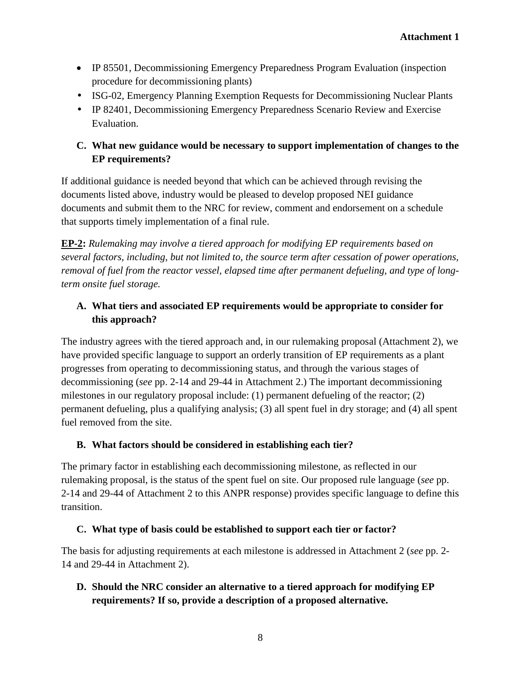- IP 85501, Decommissioning Emergency Preparedness Program Evaluation (inspection procedure for decommissioning plants)
- ISG-02, Emergency Planning Exemption Requests for Decommissioning Nuclear Plants
- IP 82401, Decommissioning Emergency Preparedness Scenario Review and Exercise Evaluation.

# **C. What new guidance would be necessary to support implementation of changes to the EP requirements?**

If additional guidance is needed beyond that which can be achieved through revising the documents listed above, industry would be pleased to develop proposed NEI guidance documents and submit them to the NRC for review, comment and endorsement on a schedule that supports timely implementation of a final rule.

**EP-2:** *Rulemaking may involve a tiered approach for modifying EP requirements based on several factors, including, but not limited to, the source term after cessation of power operations, removal of fuel from the reactor vessel, elapsed time after permanent defueling, and type of longterm onsite fuel storage.*

# **A. What tiers and associated EP requirements would be appropriate to consider for this approach?**

The industry agrees with the tiered approach and, in our rulemaking proposal (Attachment 2), we have provided specific language to support an orderly transition of EP requirements as a plant progresses from operating to decommissioning status, and through the various stages of decommissioning (*see* pp. 2-14 and 29-44 in Attachment 2.) The important decommissioning milestones in our regulatory proposal include: (1) permanent defueling of the reactor; (2) permanent defueling, plus a qualifying analysis; (3) all spent fuel in dry storage; and (4) all spent fuel removed from the site.

### **B. What factors should be considered in establishing each tier?**

The primary factor in establishing each decommissioning milestone, as reflected in our rulemaking proposal, is the status of the spent fuel on site. Our proposed rule language (*see* pp. 2-14 and 29-44 of Attachment 2 to this ANPR response) provides specific language to define this transition.

# **C. What type of basis could be established to support each tier or factor?**

The basis for adjusting requirements at each milestone is addressed in Attachment 2 (*see* pp. 2- 14 and 29-44 in Attachment 2).

# **D. Should the NRC consider an alternative to a tiered approach for modifying EP requirements? If so, provide a description of a proposed alternative.**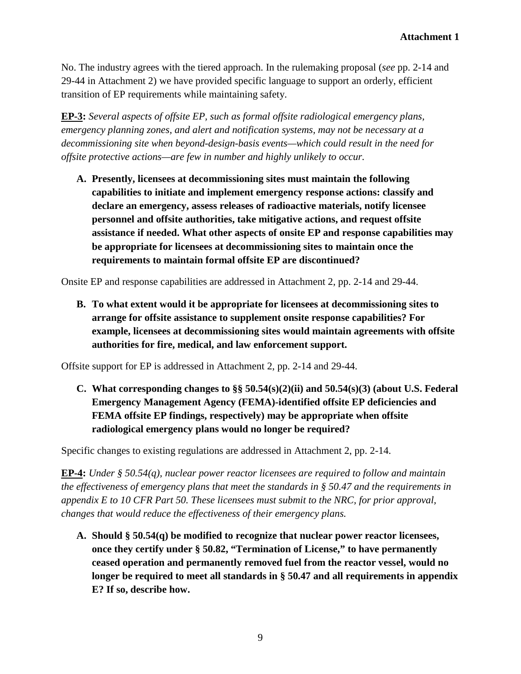No. The industry agrees with the tiered approach. In the rulemaking proposal (*see* pp. 2-14 and 29-44 in Attachment 2) we have provided specific language to support an orderly, efficient transition of EP requirements while maintaining safety.

**EP-3:** *Several aspects of offsite EP, such as formal offsite radiological emergency plans, emergency planning zones, and alert and notification systems, may not be necessary at a decommissioning site when beyond-design-basis events—which could result in the need for offsite protective actions—are few in number and highly unlikely to occur.*

**A. Presently, licensees at decommissioning sites must maintain the following capabilities to initiate and implement emergency response actions: classify and declare an emergency, assess releases of radioactive materials, notify licensee personnel and offsite authorities, take mitigative actions, and request offsite assistance if needed. What other aspects of onsite EP and response capabilities may be appropriate for licensees at decommissioning sites to maintain once the requirements to maintain formal offsite EP are discontinued?**

Onsite EP and response capabilities are addressed in Attachment 2, pp. 2-14 and 29-44.

**B. To what extent would it be appropriate for licensees at decommissioning sites to arrange for offsite assistance to supplement onsite response capabilities? For example, licensees at decommissioning sites would maintain agreements with offsite authorities for fire, medical, and law enforcement support.**

Offsite support for EP is addressed in Attachment 2, pp. 2-14 and 29-44.

**C. What corresponding changes to §§ 50.54(s)(2)(ii) and 50.54(s)(3) (about U.S. Federal Emergency Management Agency (FEMA)-identified offsite EP deficiencies and FEMA offsite EP findings, respectively) may be appropriate when offsite radiological emergency plans would no longer be required?**

Specific changes to existing regulations are addressed in Attachment 2, pp. 2-14.

**EP-4:** *Under § 50.54(q), nuclear power reactor licensees are required to follow and maintain the effectiveness of emergency plans that meet the standards in § 50.47 and the requirements in appendix E to 10 CFR Part 50. These licensees must submit to the NRC, for prior approval, changes that would reduce the effectiveness of their emergency plans.*

**A. Should § 50.54(q) be modified to recognize that nuclear power reactor licensees, once they certify under § 50.82, "Termination of License," to have permanently ceased operation and permanently removed fuel from the reactor vessel, would no longer be required to meet all standards in § 50.47 and all requirements in appendix E? If so, describe how.**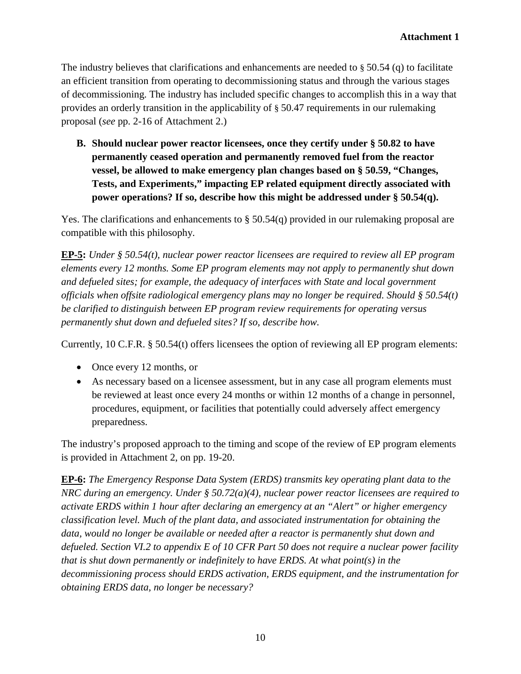The industry believes that clarifications and enhancements are needed to § 50.54 (q) to facilitate an efficient transition from operating to decommissioning status and through the various stages of decommissioning. The industry has included specific changes to accomplish this in a way that provides an orderly transition in the applicability of § 50.47 requirements in our rulemaking proposal (*see* pp. 2-16 of Attachment 2.)

**B. Should nuclear power reactor licensees, once they certify under § 50.82 to have permanently ceased operation and permanently removed fuel from the reactor vessel, be allowed to make emergency plan changes based on § 50.59, "Changes, Tests, and Experiments," impacting EP related equipment directly associated with power operations? If so, describe how this might be addressed under § 50.54(q).**

Yes. The clarifications and enhancements to § 50.54(q) provided in our rulemaking proposal are compatible with this philosophy.

**EP-5:** *Under § 50.54(t), nuclear power reactor licensees are required to review all EP program elements every 12 months. Some EP program elements may not apply to permanently shut down and defueled sites; for example, the adequacy of interfaces with State and local government officials when offsite radiological emergency plans may no longer be required. Should § 50.54(t) be clarified to distinguish between EP program review requirements for operating versus permanently shut down and defueled sites? If so, describe how.*

Currently, 10 C.F.R. § 50.54(t) offers licensees the option of reviewing all EP program elements:

- Once every 12 months, or
- As necessary based on a licensee assessment, but in any case all program elements must be reviewed at least once every 24 months or within 12 months of a change in personnel, procedures, equipment, or facilities that potentially could adversely affect emergency preparedness.

The industry's proposed approach to the timing and scope of the review of EP program elements is provided in Attachment 2, on pp. 19-20.

**EP-6:** *The Emergency Response Data System (ERDS) transmits key operating plant data to the NRC during an emergency. Under § 50.72(a)(4), nuclear power reactor licensees are required to activate ERDS within 1 hour after declaring an emergency at an "Alert" or higher emergency classification level. Much of the plant data, and associated instrumentation for obtaining the data, would no longer be available or needed after a reactor is permanently shut down and defueled. Section VI.2 to appendix E of 10 CFR Part 50 does not require a nuclear power facility that is shut down permanently or indefinitely to have ERDS. At what point(s) in the decommissioning process should ERDS activation, ERDS equipment, and the instrumentation for obtaining ERDS data, no longer be necessary?*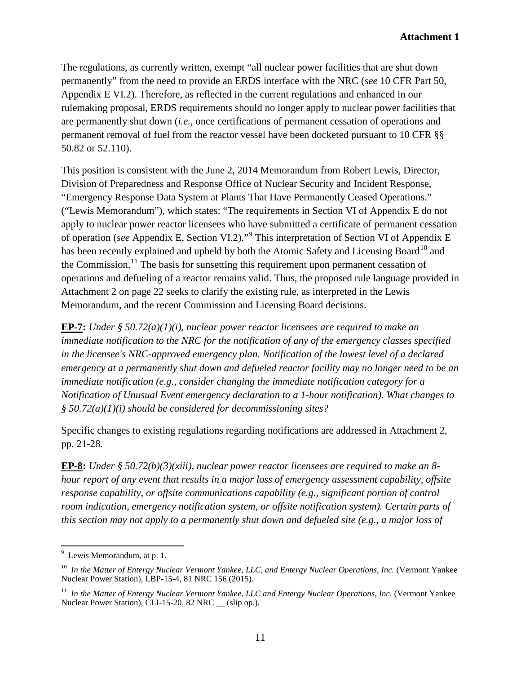The regulations, as currently written, exempt "all nuclear power facilities that are shut down permanently" from the need to provide an ERDS interface with the NRC (*see* 10 CFR Part 50, Appendix E VI.2). Therefore, as reflected in the current regulations and enhanced in our rulemaking proposal, ERDS requirements should no longer apply to nuclear power facilities that are permanently shut down (*i.e.*, once certifications of permanent cessation of operations and permanent removal of fuel from the reactor vessel have been docketed pursuant to 10 CFR §§ 50.82 or 52.110).

This position is consistent with the June 2, 2014 Memorandum from Robert Lewis, Director, Division of Preparedness and Response Office of Nuclear Security and Incident Response, "Emergency Response Data System at Plants That Have Permanently Ceased Operations." ("Lewis Memorandum"), which states: "The requirements in Section VI of Appendix E do not apply to nuclear power reactor licensees who have submitted a certificate of permanent cessation of operation (*see* Appendix E, Section VI.2)."[9](#page-10-0) This interpretation of Section VI of Appendix E has been recently explained and upheld by both the Atomic Safety and Licensing Board<sup>[10](#page-10-1)</sup> and the Commission.<sup>[11](#page-10-2)</sup> The basis for sunsetting this requirement upon permanent cessation of operations and defueling of a reactor remains valid. Thus, the proposed rule language provided in Attachment 2 on page 22 seeks to clarify the existing rule, as interpreted in the Lewis Memorandum, and the recent Commission and Licensing Board decisions.

**EP-7:** *Under § 50.72(a)(1)(i), nuclear power reactor licensees are required to make an immediate notification to the NRC for the notification of any of the emergency classes specified in the licensee's NRC-approved emergency plan. Notification of the lowest level of a declared emergency at a permanently shut down and defueled reactor facility may no longer need to be an immediate notification (e.g., consider changing the immediate notification category for a Notification of Unusual Event emergency declaration to a 1-hour notification). What changes to § 50.72(a)(1)(i) should be considered for decommissioning sites?*

Specific changes to existing regulations regarding notifications are addressed in Attachment 2, pp. 21-28.

**EP-8:** *Under § 50.72(b)(3)(xiii), nuclear power reactor licensees are required to make an 8 hour report of any event that results in a major loss of emergency assessment capability, offsite response capability, or offsite communications capability (e.g., significant portion of control room indication, emergency notification system, or offsite notification system). Certain parts of this section may not apply to a permanently shut down and defueled site (e.g., a major loss of* 

<span id="page-10-0"></span><sup>-&</sup>lt;br>9  $9$  Lewis Memorandum, at p. 1.

<span id="page-10-1"></span><sup>10</sup> *In the Matter of Entergy Nuclear Vermont Yankee, LLC, and Entergy Nuclear Operations, Inc.* (Vermont Yankee Nuclear Power Station), LBP-15-4, 81 NRC 156 (2015).

<span id="page-10-2"></span><sup>11</sup> *In the Matter of Entergy Nuclear Vermont Yankee, LLC and Entergy Nuclear Operations, Inc.* (Vermont Yankee Nuclear Power Station), CLI-15-20, 82 NRC (slip op.).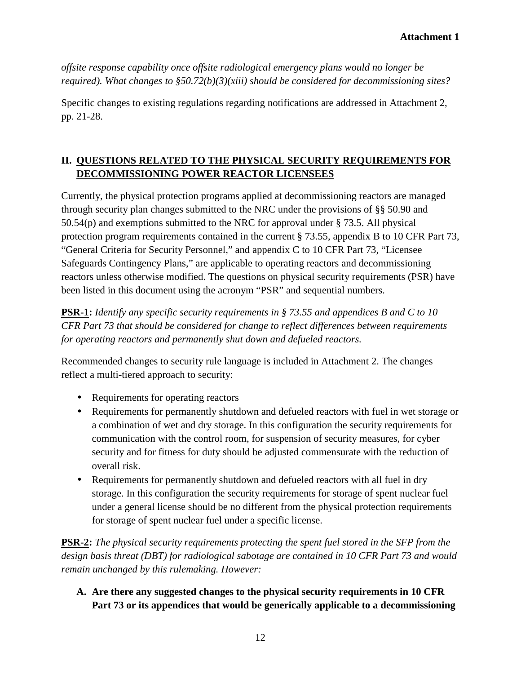*offsite response capability once offsite radiological emergency plans would no longer be required). What changes to §50.72(b)(3)(xiii) should be considered for decommissioning sites?*

Specific changes to existing regulations regarding notifications are addressed in Attachment 2, pp. 21-28.

# **II. QUESTIONS RELATED TO THE PHYSICAL SECURITY REQUIREMENTS FOR DECOMMISSIONING POWER REACTOR LICENSEES**

Currently, the physical protection programs applied at decommissioning reactors are managed through security plan changes submitted to the NRC under the provisions of §§ 50.90 and 50.54(p) and exemptions submitted to the NRC for approval under § 73.5. All physical protection program requirements contained in the current § 73.55, appendix B to 10 CFR Part 73, "General Criteria for Security Personnel," and appendix C to 10 CFR Part 73, "Licensee Safeguards Contingency Plans," are applicable to operating reactors and decommissioning reactors unless otherwise modified. The questions on physical security requirements (PSR) have been listed in this document using the acronym "PSR" and sequential numbers.

**PSR-1:** *Identify any specific security requirements in § 73.55 and appendices B and C to 10 CFR Part 73 that should be considered for change to reflect differences between requirements for operating reactors and permanently shut down and defueled reactors.*

Recommended changes to security rule language is included in Attachment 2. The changes reflect a multi-tiered approach to security:

- Requirements for operating reactors
- Requirements for permanently shutdown and defueled reactors with fuel in wet storage or a combination of wet and dry storage. In this configuration the security requirements for communication with the control room, for suspension of security measures, for cyber security and for fitness for duty should be adjusted commensurate with the reduction of overall risk.
- Requirements for permanently shutdown and defueled reactors with all fuel in dry storage. In this configuration the security requirements for storage of spent nuclear fuel under a general license should be no different from the physical protection requirements for storage of spent nuclear fuel under a specific license.

**PSR-2:** *The physical security requirements protecting the spent fuel stored in the SFP from the design basis threat (DBT) for radiological sabotage are contained in 10 CFR Part 73 and would remain unchanged by this rulemaking. However:* 

**A. Are there any suggested changes to the physical security requirements in 10 CFR Part 73 or its appendices that would be generically applicable to a decommissioning**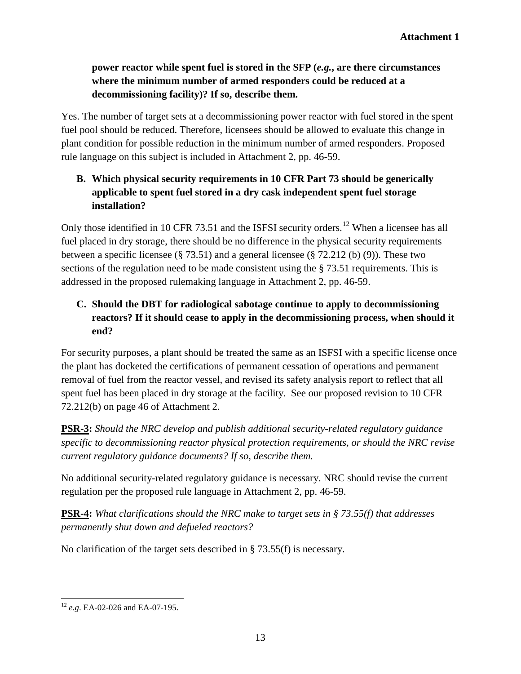# **power reactor while spent fuel is stored in the SFP (***e.g.***, are there circumstances where the minimum number of armed responders could be reduced at a decommissioning facility)? If so, describe them.**

Yes. The number of target sets at a decommissioning power reactor with fuel stored in the spent fuel pool should be reduced. Therefore, licensees should be allowed to evaluate this change in plant condition for possible reduction in the minimum number of armed responders. Proposed rule language on this subject is included in Attachment 2, pp. 46-59.

# **B. Which physical security requirements in 10 CFR Part 73 should be generically applicable to spent fuel stored in a dry cask independent spent fuel storage installation?**

Only those identified in 10 CFR 73.51 and the ISFSI security orders.<sup>[12](#page-12-0)</sup> When a licensee has all fuel placed in dry storage, there should be no difference in the physical security requirements between a specific licensee (§ 73.51) and a general licensee (§ 72.212 (b) (9)). These two sections of the regulation need to be made consistent using the § 73.51 requirements. This is addressed in the proposed rulemaking language in Attachment 2, pp. 46-59.

# **C. Should the DBT for radiological sabotage continue to apply to decommissioning reactors? If it should cease to apply in the decommissioning process, when should it end?**

For security purposes, a plant should be treated the same as an ISFSI with a specific license once the plant has docketed the certifications of permanent cessation of operations and permanent removal of fuel from the reactor vessel, and revised its safety analysis report to reflect that all spent fuel has been placed in dry storage at the facility. See our proposed revision to 10 CFR 72.212(b) on page 46 of Attachment 2.

**PSR-3:** *Should the NRC develop and publish additional security-related regulatory guidance specific to decommissioning reactor physical protection requirements, or should the NRC revise current regulatory guidance documents? If so, describe them.*

No additional security-related regulatory guidance is necessary. NRC should revise the current regulation per the proposed rule language in Attachment 2, pp. 46-59.

**PSR-4:** *What clarifications should the NRC make to target sets in § 73.55(f) that addresses permanently shut down and defueled reactors?*

No clarification of the target sets described in § 73.55(f) is necessary.

<span id="page-12-0"></span><sup>12</sup> *e.g*. EA-02-026 and EA-07-195.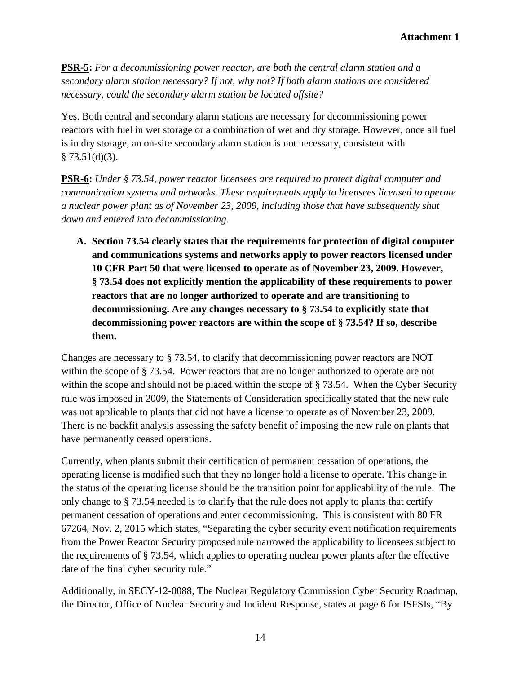**PSR-5:** *For a decommissioning power reactor, are both the central alarm station and a secondary alarm station necessary? If not, why not? If both alarm stations are considered necessary, could the secondary alarm station be located offsite?*

Yes. Both central and secondary alarm stations are necessary for decommissioning power reactors with fuel in wet storage or a combination of wet and dry storage. However, once all fuel is in dry storage, an on-site secondary alarm station is not necessary, consistent with  $§ 73.51(d)(3).$ 

**PSR-6:** *Under § 73.54, power reactor licensees are required to protect digital computer and communication systems and networks. These requirements apply to licensees licensed to operate a nuclear power plant as of November 23, 2009, including those that have subsequently shut down and entered into decommissioning.*

**A. Section 73.54 clearly states that the requirements for protection of digital computer and communications systems and networks apply to power reactors licensed under 10 CFR Part 50 that were licensed to operate as of November 23, 2009. However, § 73.54 does not explicitly mention the applicability of these requirements to power reactors that are no longer authorized to operate and are transitioning to decommissioning. Are any changes necessary to § 73.54 to explicitly state that decommissioning power reactors are within the scope of § 73.54? If so, describe them.**

Changes are necessary to § 73.54, to clarify that decommissioning power reactors are NOT within the scope of § 73.54. Power reactors that are no longer authorized to operate are not within the scope and should not be placed within the scope of § 73.54. When the Cyber Security rule was imposed in 2009, the Statements of Consideration specifically stated that the new rule was not applicable to plants that did not have a license to operate as of November 23, 2009. There is no backfit analysis assessing the safety benefit of imposing the new rule on plants that have permanently ceased operations.

Currently, when plants submit their certification of permanent cessation of operations, the operating license is modified such that they no longer hold a license to operate. This change in the status of the operating license should be the transition point for applicability of the rule. The only change to § 73.54 needed is to clarify that the rule does not apply to plants that certify permanent cessation of operations and enter decommissioning. This is consistent with 80 FR 67264, Nov. 2, 2015 which states, "Separating the cyber security event notification requirements from the Power Reactor Security proposed rule narrowed the applicability to licensees subject to the requirements of § 73.54, which applies to operating nuclear power plants after the effective date of the final cyber security rule."

Additionally, in SECY-12-0088, The Nuclear Regulatory Commission Cyber Security Roadmap, the Director, Office of Nuclear Security and Incident Response, states at page 6 for ISFSIs, "By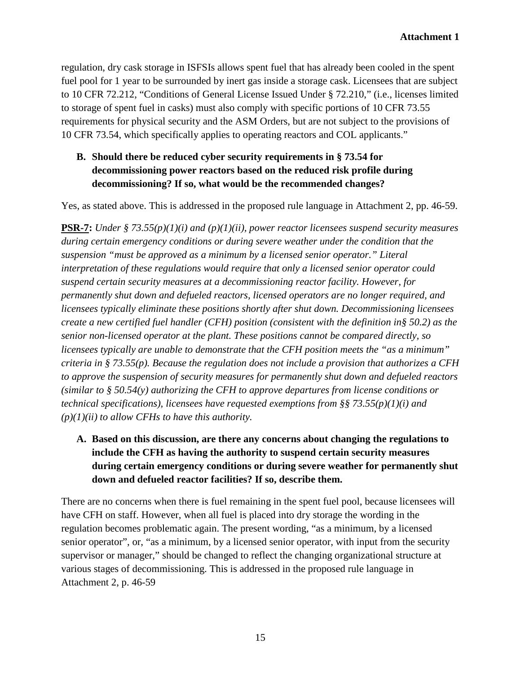regulation, dry cask storage in ISFSIs allows spent fuel that has already been cooled in the spent fuel pool for 1 year to be surrounded by inert gas inside a storage cask. Licensees that are subject to 10 CFR 72.212, "Conditions of General License Issued Under § 72.210," (i.e., licenses limited to storage of spent fuel in casks) must also comply with specific portions of 10 CFR 73.55 requirements for physical security and the ASM Orders, but are not subject to the provisions of 10 CFR 73.54, which specifically applies to operating reactors and COL applicants."

# **B. Should there be reduced cyber security requirements in § 73.54 for decommissioning power reactors based on the reduced risk profile during decommissioning? If so, what would be the recommended changes?**

Yes, as stated above. This is addressed in the proposed rule language in Attachment 2, pp. 46-59.

**PSR-7:** *Under § 73.55(p)(1)(i) and (p)(1)(ii), power reactor licensees suspend security measures during certain emergency conditions or during severe weather under the condition that the suspension "must be approved as a minimum by a licensed senior operator." Literal interpretation of these regulations would require that only a licensed senior operator could suspend certain security measures at a decommissioning reactor facility. However, for permanently shut down and defueled reactors, licensed operators are no longer required, and licensees typically eliminate these positions shortly after shut down. Decommissioning licensees create a new certified fuel handler (CFH) position (consistent with the definition in§ 50.2) as the senior non-licensed operator at the plant. These positions cannot be compared directly, so licensees typically are unable to demonstrate that the CFH position meets the "as a minimum" criteria in § 73.55(p). Because the regulation does not include a provision that authorizes a CFH to approve the suspension of security measures for permanently shut down and defueled reactors (similar to § 50.54(y) authorizing the CFH to approve departures from license conditions or technical specifications), licensees have requested exemptions from §§ 73.55(p)(1)(i) and (p)(1)(ii) to allow CFHs to have this authority.*

**A. Based on this discussion, are there any concerns about changing the regulations to include the CFH as having the authority to suspend certain security measures during certain emergency conditions or during severe weather for permanently shut down and defueled reactor facilities? If so, describe them.** 

There are no concerns when there is fuel remaining in the spent fuel pool, because licensees will have CFH on staff. However, when all fuel is placed into dry storage the wording in the regulation becomes problematic again. The present wording, "as a minimum, by a licensed senior operator", or, "as a minimum, by a licensed senior operator, with input from the security supervisor or manager," should be changed to reflect the changing organizational structure at various stages of decommissioning. This is addressed in the proposed rule language in Attachment 2, p. 46-59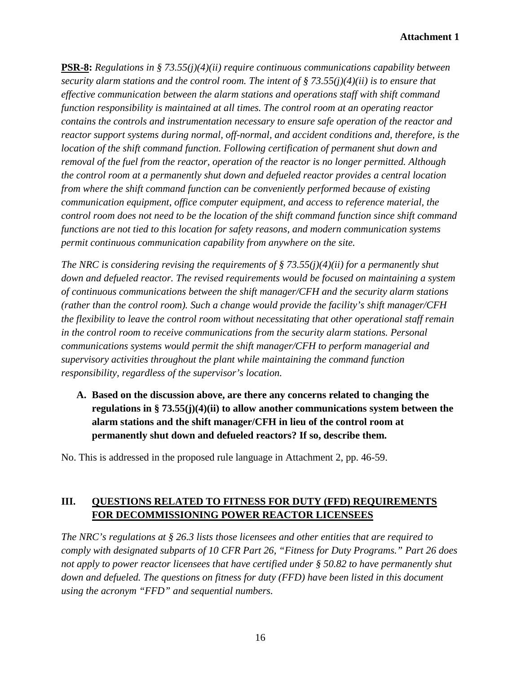#### **Attachment 1**

**PSR-8:** *Regulations in § 73.55(j)(4)(ii) require continuous communications capability between security alarm stations and the control room. The intent of § 73.55(j)(4)(ii) is to ensure that effective communication between the alarm stations and operations staff with shift command function responsibility is maintained at all times. The control room at an operating reactor contains the controls and instrumentation necessary to ensure safe operation of the reactor and reactor support systems during normal, off-normal, and accident conditions and, therefore, is the location of the shift command function. Following certification of permanent shut down and removal of the fuel from the reactor, operation of the reactor is no longer permitted. Although the control room at a permanently shut down and defueled reactor provides a central location from where the shift command function can be conveniently performed because of existing communication equipment, office computer equipment, and access to reference material, the control room does not need to be the location of the shift command function since shift command functions are not tied to this location for safety reasons, and modern communication systems permit continuous communication capability from anywhere on the site.*

*The NRC is considering revising the requirements of § 73.55(j)(4)(ii) for a permanently shut down and defueled reactor. The revised requirements would be focused on maintaining a system of continuous communications between the shift manager/CFH and the security alarm stations (rather than the control room). Such a change would provide the facility's shift manager/CFH the flexibility to leave the control room without necessitating that other operational staff remain in the control room to receive communications from the security alarm stations. Personal communications systems would permit the shift manager/CFH to perform managerial and supervisory activities throughout the plant while maintaining the command function responsibility, regardless of the supervisor's location.*

**A. Based on the discussion above, are there any concerns related to changing the regulations in § 73.55(j)(4)(ii) to allow another communications system between the alarm stations and the shift manager/CFH in lieu of the control room at permanently shut down and defueled reactors? If so, describe them.**

No. This is addressed in the proposed rule language in Attachment 2, pp. 46-59.

# **III. QUESTIONS RELATED TO FITNESS FOR DUTY (FFD) REQUIREMENTS FOR DECOMMISSIONING POWER REACTOR LICENSEES**

*The NRC's regulations at § 26.3 lists those licensees and other entities that are required to comply with designated subparts of 10 CFR Part 26, "Fitness for Duty Programs." Part 26 does not apply to power reactor licensees that have certified under § 50.82 to have permanently shut down and defueled. The questions on fitness for duty (FFD) have been listed in this document using the acronym "FFD" and sequential numbers.*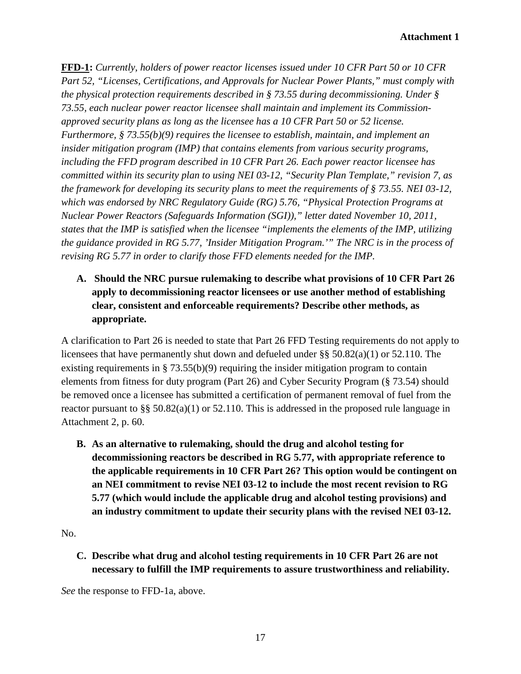**FFD-1:** *Currently, holders of power reactor licenses issued under 10 CFR Part 50 or 10 CFR Part 52, "Licenses, Certifications, and Approvals for Nuclear Power Plants," must comply with the physical protection requirements described in § 73.55 during decommissioning. Under § 73.55, each nuclear power reactor licensee shall maintain and implement its Commissionapproved security plans as long as the licensee has a 10 CFR Part 50 or 52 license. Furthermore, § 73.55(b)(9) requires the licensee to establish, maintain, and implement an insider mitigation program (IMP) that contains elements from various security programs, including the FFD program described in 10 CFR Part 26. Each power reactor licensee has committed within its security plan to using NEI 03-12, "Security Plan Template," revision 7, as the framework for developing its security plans to meet the requirements of § 73.55. NEI 03-12, which was endorsed by NRC Regulatory Guide (RG) 5.76, "Physical Protection Programs at Nuclear Power Reactors (Safeguards Information (SGI))," letter dated November 10, 2011, states that the IMP is satisfied when the licensee "implements the elements of the IMP, utilizing the guidance provided in RG 5.77, 'Insider Mitigation Program.'" The NRC is in the process of revising RG 5.77 in order to clarify those FFD elements needed for the IMP.*

# **A. Should the NRC pursue rulemaking to describe what provisions of 10 CFR Part 26 apply to decommissioning reactor licensees or use another method of establishing clear, consistent and enforceable requirements? Describe other methods, as appropriate.**

A clarification to Part 26 is needed to state that Part 26 FFD Testing requirements do not apply to licensees that have permanently shut down and defueled under §§ 50.82(a)(1) or 52.110. The existing requirements in § 73.55(b)(9) requiring the insider mitigation program to contain elements from fitness for duty program (Part 26) and Cyber Security Program (§ 73.54) should be removed once a licensee has submitted a certification of permanent removal of fuel from the reactor pursuant to §§ 50.82(a)(1) or 52.110. This is addressed in the proposed rule language in Attachment 2, p. 60.

**B. As an alternative to rulemaking, should the drug and alcohol testing for decommissioning reactors be described in RG 5.77, with appropriate reference to the applicable requirements in 10 CFR Part 26? This option would be contingent on an NEI commitment to revise NEI 03-12 to include the most recent revision to RG 5.77 (which would include the applicable drug and alcohol testing provisions) and an industry commitment to update their security plans with the revised NEI 03-12.**

No.

**C. Describe what drug and alcohol testing requirements in 10 CFR Part 26 are not necessary to fulfill the IMP requirements to assure trustworthiness and reliability.**

*See* the response to FFD-1a, above.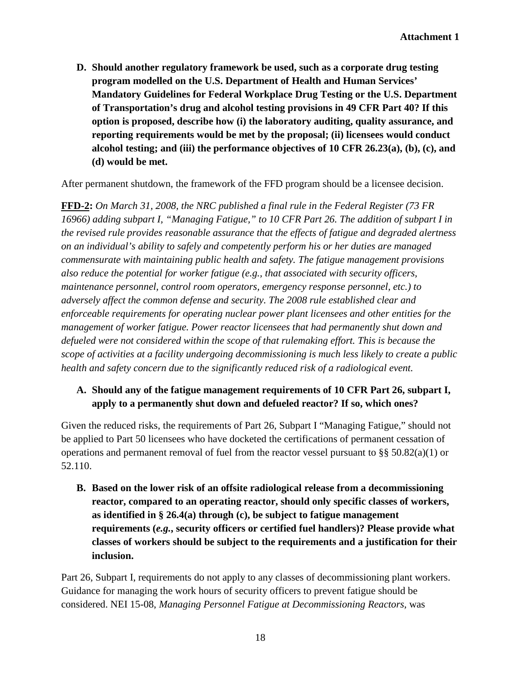**D. Should another regulatory framework be used, such as a corporate drug testing program modelled on the U.S. Department of Health and Human Services' Mandatory Guidelines for Federal Workplace Drug Testing or the U.S. Department of Transportation's drug and alcohol testing provisions in 49 CFR Part 40? If this option is proposed, describe how (i) the laboratory auditing, quality assurance, and reporting requirements would be met by the proposal; (ii) licensees would conduct alcohol testing; and (iii) the performance objectives of 10 CFR 26.23(a), (b), (c), and (d) would be met.**

After permanent shutdown, the framework of the FFD program should be a licensee decision.

**FFD-2:** *On March 31, 2008, the NRC published a final rule in the Federal Register (73 FR 16966) adding subpart I, "Managing Fatigue," to 10 CFR Part 26. The addition of subpart I in the revised rule provides reasonable assurance that the effects of fatigue and degraded alertness on an individual's ability to safely and competently perform his or her duties are managed commensurate with maintaining public health and safety. The fatigue management provisions also reduce the potential for worker fatigue (e.g., that associated with security officers, maintenance personnel, control room operators, emergency response personnel, etc.) to adversely affect the common defense and security. The 2008 rule established clear and enforceable requirements for operating nuclear power plant licensees and other entities for the management of worker fatigue. Power reactor licensees that had permanently shut down and defueled were not considered within the scope of that rulemaking effort. This is because the scope of activities at a facility undergoing decommissioning is much less likely to create a public health and safety concern due to the significantly reduced risk of a radiological event.*

### **A. Should any of the fatigue management requirements of 10 CFR Part 26, subpart I, apply to a permanently shut down and defueled reactor? If so, which ones?**

Given the reduced risks, the requirements of Part 26, Subpart I "Managing Fatigue," should not be applied to Part 50 licensees who have docketed the certifications of permanent cessation of operations and permanent removal of fuel from the reactor vessel pursuant to §§ 50.82(a)(1) or 52.110.

**B. Based on the lower risk of an offsite radiological release from a decommissioning reactor, compared to an operating reactor, should only specific classes of workers, as identified in § 26.4(a) through (c), be subject to fatigue management requirements (***e.g.***, security officers or certified fuel handlers)? Please provide what classes of workers should be subject to the requirements and a justification for their inclusion.**

Part 26, Subpart I, requirements do not apply to any classes of decommissioning plant workers. Guidance for managing the work hours of security officers to prevent fatigue should be considered. NEI 15-08, *Managing Personnel Fatigue at Decommissioning Reactors,* was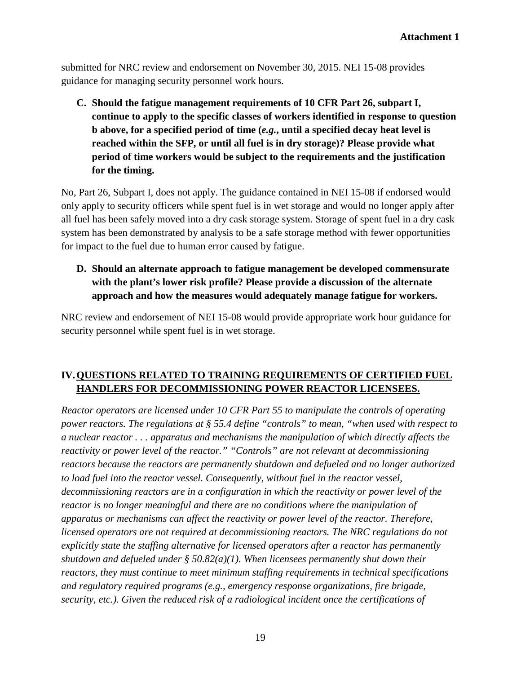submitted for NRC review and endorsement on November 30, 2015. NEI 15-08 provides guidance for managing security personnel work hours.

**C. Should the fatigue management requirements of 10 CFR Part 26, subpart I, continue to apply to the specific classes of workers identified in response to question b above, for a specified period of time (***e.g.***, until a specified decay heat level is reached within the SFP, or until all fuel is in dry storage)? Please provide what period of time workers would be subject to the requirements and the justification for the timing.**

No, Part 26, Subpart I, does not apply. The guidance contained in NEI 15-08 if endorsed would only apply to security officers while spent fuel is in wet storage and would no longer apply after all fuel has been safely moved into a dry cask storage system. Storage of spent fuel in a dry cask system has been demonstrated by analysis to be a safe storage method with fewer opportunities for impact to the fuel due to human error caused by fatigue.

# **D. Should an alternate approach to fatigue management be developed commensurate with the plant's lower risk profile? Please provide a discussion of the alternate approach and how the measures would adequately manage fatigue for workers.**

NRC review and endorsement of NEI 15-08 would provide appropriate work hour guidance for security personnel while spent fuel is in wet storage.

# **IV.QUESTIONS RELATED TO TRAINING REQUIREMENTS OF CERTIFIED FUEL HANDLERS FOR DECOMMISSIONING POWER REACTOR LICENSEES.**

*Reactor operators are licensed under 10 CFR Part 55 to manipulate the controls of operating power reactors. The regulations at § 55.4 define "controls" to mean, "when used with respect to a nuclear reactor . . . apparatus and mechanisms the manipulation of which directly affects the reactivity or power level of the reactor." "Controls" are not relevant at decommissioning reactors because the reactors are permanently shutdown and defueled and no longer authorized to load fuel into the reactor vessel. Consequently, without fuel in the reactor vessel, decommissioning reactors are in a configuration in which the reactivity or power level of the reactor is no longer meaningful and there are no conditions where the manipulation of apparatus or mechanisms can affect the reactivity or power level of the reactor. Therefore, licensed operators are not required at decommissioning reactors. The NRC regulations do not explicitly state the staffing alternative for licensed operators after a reactor has permanently shutdown and defueled under § 50.82(a)(1). When licensees permanently shut down their reactors, they must continue to meet minimum staffing requirements in technical specifications and regulatory required programs (e.g., emergency response organizations, fire brigade, security, etc.). Given the reduced risk of a radiological incident once the certifications of*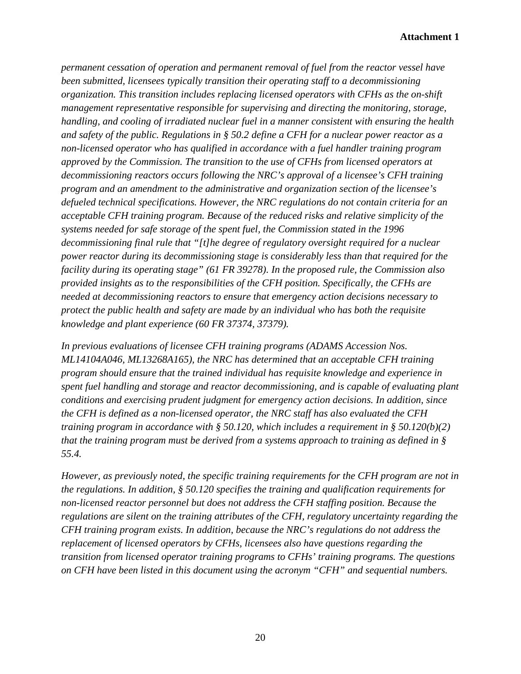#### **Attachment 1**

*permanent cessation of operation and permanent removal of fuel from the reactor vessel have been submitted, licensees typically transition their operating staff to a decommissioning organization. This transition includes replacing licensed operators with CFHs as the on-shift management representative responsible for supervising and directing the monitoring, storage, handling, and cooling of irradiated nuclear fuel in a manner consistent with ensuring the health and safety of the public. Regulations in § 50.2 define a CFH for a nuclear power reactor as a non-licensed operator who has qualified in accordance with a fuel handler training program approved by the Commission. The transition to the use of CFHs from licensed operators at decommissioning reactors occurs following the NRC's approval of a licensee's CFH training program and an amendment to the administrative and organization section of the licensee's defueled technical specifications. However, the NRC regulations do not contain criteria for an acceptable CFH training program. Because of the reduced risks and relative simplicity of the systems needed for safe storage of the spent fuel, the Commission stated in the 1996 decommissioning final rule that "[t]he degree of regulatory oversight required for a nuclear power reactor during its decommissioning stage is considerably less than that required for the facility during its operating stage" (61 FR 39278). In the proposed rule, the Commission also provided insights as to the responsibilities of the CFH position. Specifically, the CFHs are needed at decommissioning reactors to ensure that emergency action decisions necessary to protect the public health and safety are made by an individual who has both the requisite knowledge and plant experience (60 FR 37374, 37379).*

*In previous evaluations of licensee CFH training programs (ADAMS Accession Nos. ML14104A046, ML13268A165), the NRC has determined that an acceptable CFH training program should ensure that the trained individual has requisite knowledge and experience in spent fuel handling and storage and reactor decommissioning, and is capable of evaluating plant conditions and exercising prudent judgment for emergency action decisions. In addition, since the CFH is defined as a non-licensed operator, the NRC staff has also evaluated the CFH training program in accordance with § 50.120, which includes a requirement in § 50.120(b)(2) that the training program must be derived from a systems approach to training as defined in § 55.4.*

*However, as previously noted, the specific training requirements for the CFH program are not in the regulations. In addition, § 50.120 specifies the training and qualification requirements for non-licensed reactor personnel but does not address the CFH staffing position. Because the regulations are silent on the training attributes of the CFH, regulatory uncertainty regarding the CFH training program exists. In addition, because the NRC's regulations do not address the replacement of licensed operators by CFHs, licensees also have questions regarding the transition from licensed operator training programs to CFHs' training programs. The questions on CFH have been listed in this document using the acronym "CFH" and sequential numbers.*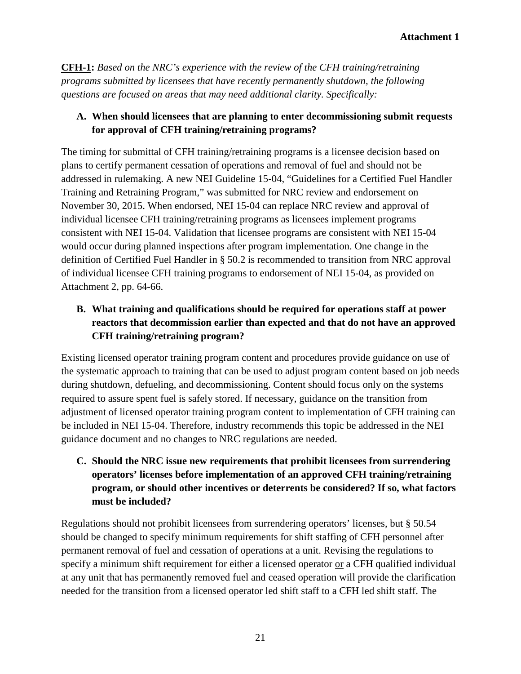**CFH-1:** *Based on the NRC's experience with the review of the CFH training/retraining programs submitted by licensees that have recently permanently shutdown, the following questions are focused on areas that may need additional clarity. Specifically:*

# **A. When should licensees that are planning to enter decommissioning submit requests for approval of CFH training/retraining programs?**

The timing for submittal of CFH training/retraining programs is a licensee decision based on plans to certify permanent cessation of operations and removal of fuel and should not be addressed in rulemaking. A new NEI Guideline 15-04, "Guidelines for a Certified Fuel Handler Training and Retraining Program," was submitted for NRC review and endorsement on November 30, 2015. When endorsed, NEI 15-04 can replace NRC review and approval of individual licensee CFH training/retraining programs as licensees implement programs consistent with NEI 15-04. Validation that licensee programs are consistent with NEI 15-04 would occur during planned inspections after program implementation. One change in the definition of Certified Fuel Handler in § 50.2 is recommended to transition from NRC approval of individual licensee CFH training programs to endorsement of NEI 15-04, as provided on Attachment 2, pp. 64-66.

# **B. What training and qualifications should be required for operations staff at power reactors that decommission earlier than expected and that do not have an approved CFH training/retraining program?**

Existing licensed operator training program content and procedures provide guidance on use of the systematic approach to training that can be used to adjust program content based on job needs during shutdown, defueling, and decommissioning. Content should focus only on the systems required to assure spent fuel is safely stored. If necessary, guidance on the transition from adjustment of licensed operator training program content to implementation of CFH training can be included in NEI 15-04. Therefore, industry recommends this topic be addressed in the NEI guidance document and no changes to NRC regulations are needed.

**C. Should the NRC issue new requirements that prohibit licensees from surrendering operators' licenses before implementation of an approved CFH training/retraining program, or should other incentives or deterrents be considered? If so, what factors must be included?**

Regulations should not prohibit licensees from surrendering operators' licenses, but § 50.54 should be changed to specify minimum requirements for shift staffing of CFH personnel after permanent removal of fuel and cessation of operations at a unit. Revising the regulations to specify a minimum shift requirement for either a licensed operator or a CFH qualified individual at any unit that has permanently removed fuel and ceased operation will provide the clarification needed for the transition from a licensed operator led shift staff to a CFH led shift staff. The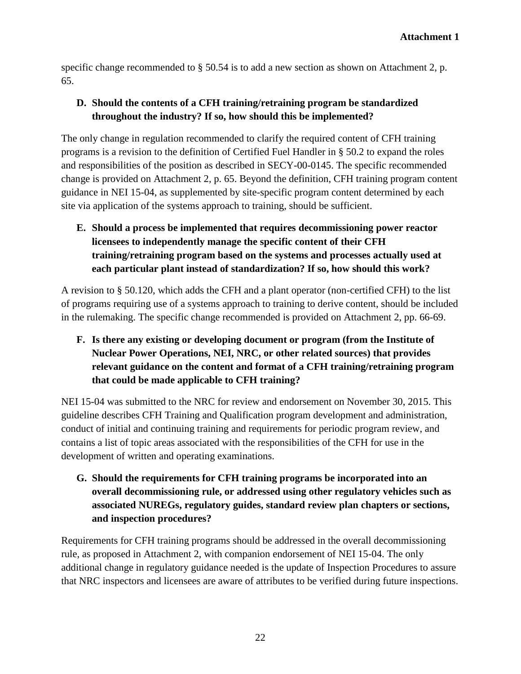specific change recommended to § 50.54 is to add a new section as shown on Attachment 2, p. 65.

# **D. Should the contents of a CFH training/retraining program be standardized throughout the industry? If so, how should this be implemented?**

The only change in regulation recommended to clarify the required content of CFH training programs is a revision to the definition of Certified Fuel Handler in § 50.2 to expand the roles and responsibilities of the position as described in SECY-00-0145. The specific recommended change is provided on Attachment 2, p. 65. Beyond the definition, CFH training program content guidance in NEI 15-04, as supplemented by site-specific program content determined by each site via application of the systems approach to training, should be sufficient.

**E. Should a process be implemented that requires decommissioning power reactor licensees to independently manage the specific content of their CFH training/retraining program based on the systems and processes actually used at each particular plant instead of standardization? If so, how should this work?**

A revision to § 50.120, which adds the CFH and a plant operator (non-certified CFH) to the list of programs requiring use of a systems approach to training to derive content, should be included in the rulemaking. The specific change recommended is provided on Attachment 2, pp. 66-69.

**F. Is there any existing or developing document or program (from the Institute of Nuclear Power Operations, NEI, NRC, or other related sources) that provides relevant guidance on the content and format of a CFH training/retraining program that could be made applicable to CFH training?**

NEI 15-04 was submitted to the NRC for review and endorsement on November 30, 2015. This guideline describes CFH Training and Qualification program development and administration, conduct of initial and continuing training and requirements for periodic program review, and contains a list of topic areas associated with the responsibilities of the CFH for use in the development of written and operating examinations.

**G. Should the requirements for CFH training programs be incorporated into an overall decommissioning rule, or addressed using other regulatory vehicles such as associated NUREGs, regulatory guides, standard review plan chapters or sections, and inspection procedures?**

Requirements for CFH training programs should be addressed in the overall decommissioning rule, as proposed in Attachment 2, with companion endorsement of NEI 15-04. The only additional change in regulatory guidance needed is the update of Inspection Procedures to assure that NRC inspectors and licensees are aware of attributes to be verified during future inspections.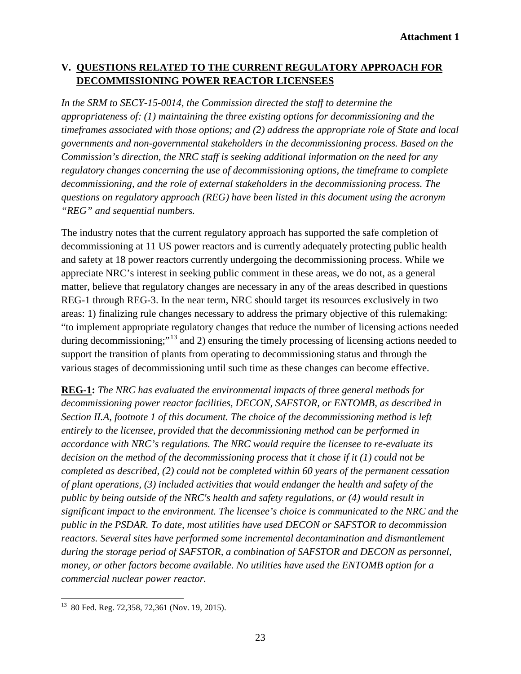#### **V. QUESTIONS RELATED TO THE CURRENT REGULATORY APPROACH FOR DECOMMISSIONING POWER REACTOR LICENSEES**

In the SRM to SECY-15-0014, the Commission directed the staff to determine the *appropriateness of: (1) maintaining the three existing options for decommissioning and the timeframes associated with those options; and (2) address the appropriate role of State and local governments and non-governmental stakeholders in the decommissioning process. Based on the Commission's direction, the NRC staff is seeking additional information on the need for any regulatory changes concerning the use of decommissioning options, the timeframe to complete decommissioning, and the role of external stakeholders in the decommissioning process. The questions on regulatory approach (REG) have been listed in this document using the acronym "REG" and sequential numbers.* 

The industry notes that the current regulatory approach has supported the safe completion of decommissioning at 11 US power reactors and is currently adequately protecting public health and safety at 18 power reactors currently undergoing the decommissioning process. While we appreciate NRC's interest in seeking public comment in these areas, we do not, as a general matter, believe that regulatory changes are necessary in any of the areas described in questions REG-1 through REG-3. In the near term, NRC should target its resources exclusively in two areas: 1) finalizing rule changes necessary to address the primary objective of this rulemaking: "to implement appropriate regulatory changes that reduce the number of licensing actions needed during decommissioning;"<sup>[13](#page-22-0)</sup> and 2) ensuring the timely processing of licensing actions needed to support the transition of plants from operating to decommissioning status and through the various stages of decommissioning until such time as these changes can become effective.

**REG-1:** *The NRC has evaluated the environmental impacts of three general methods for decommissioning power reactor facilities, DECON, SAFSTOR, or ENTOMB, as described in Section II.A, footnote 1 of this document. The choice of the decommissioning method is left entirely to the licensee, provided that the decommissioning method can be performed in accordance with NRC's regulations. The NRC would require the licensee to re-evaluate its decision on the method of the decommissioning process that it chose if it (1) could not be completed as described, (2) could not be completed within 60 years of the permanent cessation of plant operations, (3) included activities that would endanger the health and safety of the public by being outside of the NRC's health and safety regulations, or (4) would result in significant impact to the environment. The licensee's choice is communicated to the NRC and the public in the PSDAR. To date, most utilities have used DECON or SAFSTOR to decommission reactors. Several sites have performed some incremental decontamination and dismantlement during the storage period of SAFSTOR, a combination of SAFSTOR and DECON as personnel, money, or other factors become available. No utilities have used the ENTOMB option for a commercial nuclear power reactor.*

<span id="page-22-0"></span>13 80 Fed. Reg. 72,358, 72,361 (Nov. 19, 2015).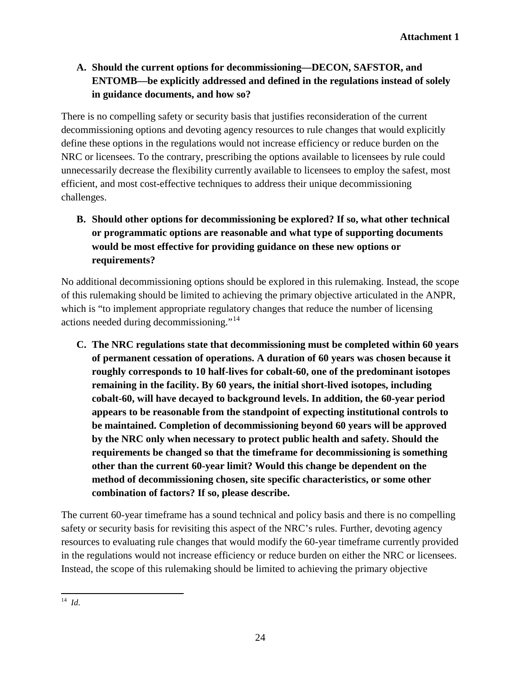# **A. Should the current options for decommissioning—DECON, SAFSTOR, and ENTOMB—be explicitly addressed and defined in the regulations instead of solely in guidance documents, and how so?**

There is no compelling safety or security basis that justifies reconsideration of the current decommissioning options and devoting agency resources to rule changes that would explicitly define these options in the regulations would not increase efficiency or reduce burden on the NRC or licensees. To the contrary, prescribing the options available to licensees by rule could unnecessarily decrease the flexibility currently available to licensees to employ the safest, most efficient, and most cost-effective techniques to address their unique decommissioning challenges.

**B. Should other options for decommissioning be explored? If so, what other technical or programmatic options are reasonable and what type of supporting documents would be most effective for providing guidance on these new options or requirements?**

No additional decommissioning options should be explored in this rulemaking. Instead, the scope of this rulemaking should be limited to achieving the primary objective articulated in the ANPR, which is "to implement appropriate regulatory changes that reduce the number of licensing actions needed during decommissioning."[14](#page-23-0)

**C. The NRC regulations state that decommissioning must be completed within 60 years of permanent cessation of operations. A duration of 60 years was chosen because it roughly corresponds to 10 half-lives for cobalt-60, one of the predominant isotopes remaining in the facility. By 60 years, the initial short-lived isotopes, including cobalt-60, will have decayed to background levels. In addition, the 60-year period appears to be reasonable from the standpoint of expecting institutional controls to be maintained. Completion of decommissioning beyond 60 years will be approved by the NRC only when necessary to protect public health and safety. Should the requirements be changed so that the timeframe for decommissioning is something other than the current 60-year limit? Would this change be dependent on the method of decommissioning chosen, site specific characteristics, or some other combination of factors? If so, please describe.**

The current 60-year timeframe has a sound technical and policy basis and there is no compelling safety or security basis for revisiting this aspect of the NRC's rules. Further, devoting agency resources to evaluating rule changes that would modify the 60-year timeframe currently provided in the regulations would not increase efficiency or reduce burden on either the NRC or licensees. Instead, the scope of this rulemaking should be limited to achieving the primary objective

<span id="page-23-0"></span><sup>14</sup>*Id*.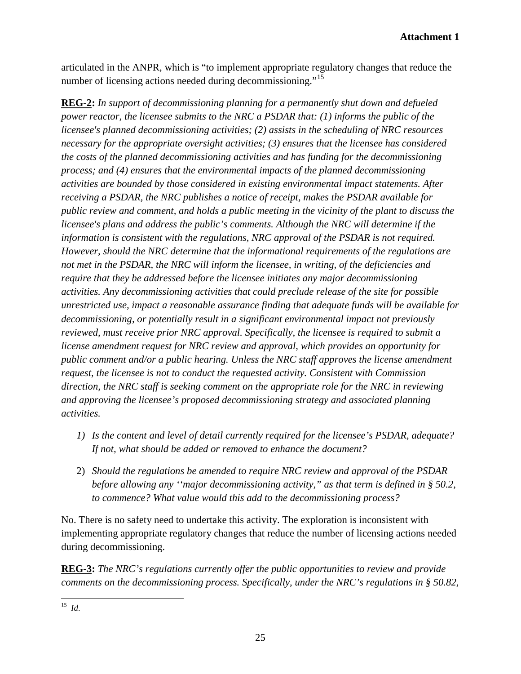articulated in the ANPR, which is "to implement appropriate regulatory changes that reduce the number of licensing actions needed during decommissioning."[15](#page-24-0)

**REG-2:** *In support of decommissioning planning for a permanently shut down and defueled power reactor, the licensee submits to the NRC a PSDAR that: (1) informs the public of the licensee's planned decommissioning activities; (2) assists in the scheduling of NRC resources necessary for the appropriate oversight activities; (3) ensures that the licensee has considered the costs of the planned decommissioning activities and has funding for the decommissioning process; and (4) ensures that the environmental impacts of the planned decommissioning activities are bounded by those considered in existing environmental impact statements. After receiving a PSDAR, the NRC publishes a notice of receipt, makes the PSDAR available for public review and comment, and holds a public meeting in the vicinity of the plant to discuss the licensee's plans and address the public's comments. Although the NRC will determine if the information is consistent with the regulations, NRC approval of the PSDAR is not required. However, should the NRC determine that the informational requirements of the regulations are not met in the PSDAR, the NRC will inform the licensee, in writing, of the deficiencies and require that they be addressed before the licensee initiates any major decommissioning activities. Any decommissioning activities that could preclude release of the site for possible unrestricted use, impact a reasonable assurance finding that adequate funds will be available for decommissioning, or potentially result in a significant environmental impact not previously reviewed, must receive prior NRC approval. Specifically, the licensee is required to submit a license amendment request for NRC review and approval, which provides an opportunity for public comment and/or a public hearing. Unless the NRC staff approves the license amendment request, the licensee is not to conduct the requested activity. Consistent with Commission direction, the NRC staff is seeking comment on the appropriate role for the NRC in reviewing and approving the licensee's proposed decommissioning strategy and associated planning activities.*

- *1) Is the content and level of detail currently required for the licensee's PSDAR, adequate? If not, what should be added or removed to enhance the document?*
- 2) *Should the regulations be amended to require NRC review and approval of the PSDAR before allowing any ''major decommissioning activity," as that term is defined in § 50.2, to commence? What value would this add to the decommissioning process?*

No. There is no safety need to undertake this activity. The exploration is inconsistent with implementing appropriate regulatory changes that reduce the number of licensing actions needed during decommissioning.

**REG-3:** *The NRC's regulations currently offer the public opportunities to review and provide comments on the decommissioning process. Specifically, under the NRC's regulations in § 50.82,* 

<span id="page-24-0"></span><sup>15</sup>*Id*.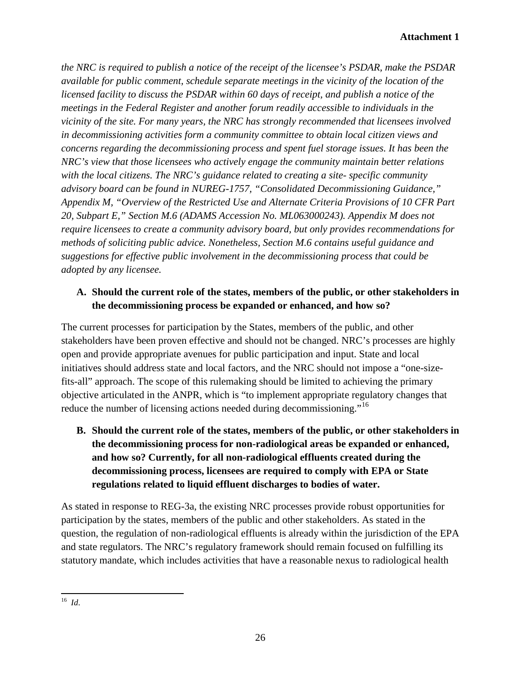*the NRC is required to publish a notice of the receipt of the licensee's PSDAR, make the PSDAR available for public comment, schedule separate meetings in the vicinity of the location of the licensed facility to discuss the PSDAR within 60 days of receipt, and publish a notice of the meetings in the Federal Register and another forum readily accessible to individuals in the vicinity of the site. For many years, the NRC has strongly recommended that licensees involved in decommissioning activities form a community committee to obtain local citizen views and concerns regarding the decommissioning process and spent fuel storage issues. It has been the NRC's view that those licensees who actively engage the community maintain better relations with the local citizens. The NRC's guidance related to creating a site- specific community advisory board can be found in NUREG-1757, "Consolidated Decommissioning Guidance," Appendix M, "Overview of the Restricted Use and Alternate Criteria Provisions of 10 CFR Part 20, Subpart E," Section M.6 (ADAMS Accession No. ML063000243). Appendix M does not require licensees to create a community advisory board, but only provides recommendations for methods of soliciting public advice. Nonetheless, Section M.6 contains useful guidance and suggestions for effective public involvement in the decommissioning process that could be adopted by any licensee.*

# **A. Should the current role of the states, members of the public, or other stakeholders in the decommissioning process be expanded or enhanced, and how so?**

The current processes for participation by the States, members of the public, and other stakeholders have been proven effective and should not be changed. NRC's processes are highly open and provide appropriate avenues for public participation and input. State and local initiatives should address state and local factors, and the NRC should not impose a "one-sizefits-all" approach. The scope of this rulemaking should be limited to achieving the primary objective articulated in the ANPR, which is "to implement appropriate regulatory changes that reduce the number of licensing actions needed during decommissioning."<sup>[16](#page-25-0)</sup>

**B. Should the current role of the states, members of the public, or other stakeholders in the decommissioning process for non-radiological areas be expanded or enhanced, and how so? Currently, for all non-radiological effluents created during the decommissioning process, licensees are required to comply with EPA or State regulations related to liquid effluent discharges to bodies of water.** 

As stated in response to REG-3a, the existing NRC processes provide robust opportunities for participation by the states, members of the public and other stakeholders. As stated in the question, the regulation of non-radiological effluents is already within the jurisdiction of the EPA and state regulators. The NRC's regulatory framework should remain focused on fulfilling its statutory mandate, which includes activities that have a reasonable nexus to radiological health

<span id="page-25-0"></span><sup>16</sup>*Id*.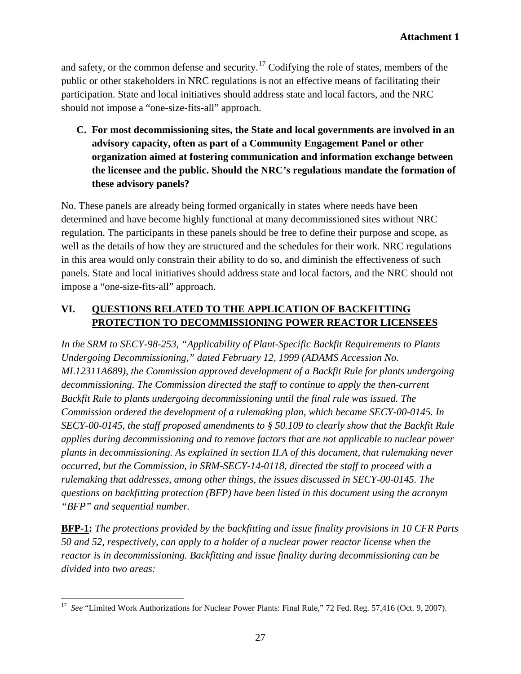and safety, or the common defense and security.<sup>[17](#page-26-0)</sup> Codifying the role of states, members of the public or other stakeholders in NRC regulations is not an effective means of facilitating their participation. State and local initiatives should address state and local factors, and the NRC should not impose a "one-size-fits-all" approach.

**C. For most decommissioning sites, the State and local governments are involved in an advisory capacity, often as part of a Community Engagement Panel or other organization aimed at fostering communication and information exchange between the licensee and the public. Should the NRC's regulations mandate the formation of these advisory panels?** 

No. These panels are already being formed organically in states where needs have been determined and have become highly functional at many decommissioned sites without NRC regulation. The participants in these panels should be free to define their purpose and scope, as well as the details of how they are structured and the schedules for their work. NRC regulations in this area would only constrain their ability to do so, and diminish the effectiveness of such panels. State and local initiatives should address state and local factors, and the NRC should not impose a "one-size-fits-all" approach.

# **VI. QUESTIONS RELATED TO THE APPLICATION OF BACKFITTING PROTECTION TO DECOMMISSIONING POWER REACTOR LICENSEES**

*In the SRM to SECY-98-253, "Applicability of Plant-Specific Backfit Requirements to Plants Undergoing Decommissioning," dated February 12, 1999 (ADAMS Accession No. ML12311A689), the Commission approved development of a Backfit Rule for plants undergoing decommissioning. The Commission directed the staff to continue to apply the then-current Backfit Rule to plants undergoing decommissioning until the final rule was issued. The Commission ordered the development of a rulemaking plan, which became SECY-00-0145. In SECY-00-0145, the staff proposed amendments to § 50.109 to clearly show that the Backfit Rule applies during decommissioning and to remove factors that are not applicable to nuclear power plants in decommissioning. As explained in section II.A of this document, that rulemaking never occurred, but the Commission, in SRM-SECY-14-0118, directed the staff to proceed with a rulemaking that addresses, among other things, the issues discussed in SECY-00-0145. The questions on backfitting protection (BFP) have been listed in this document using the acronym "BFP" and sequential number.*

**BFP-1:** *The protections provided by the backfitting and issue finality provisions in 10 CFR Parts 50 and 52, respectively, can apply to a holder of a nuclear power reactor license when the reactor is in decommissioning. Backfitting and issue finality during decommissioning can be divided into two areas:*

<span id="page-26-0"></span><sup>&</sup>lt;sup>17</sup> See "Limited Work Authorizations for Nuclear Power Plants: Final Rule," 72 Fed. Reg. 57,416 (Oct. 9, 2007).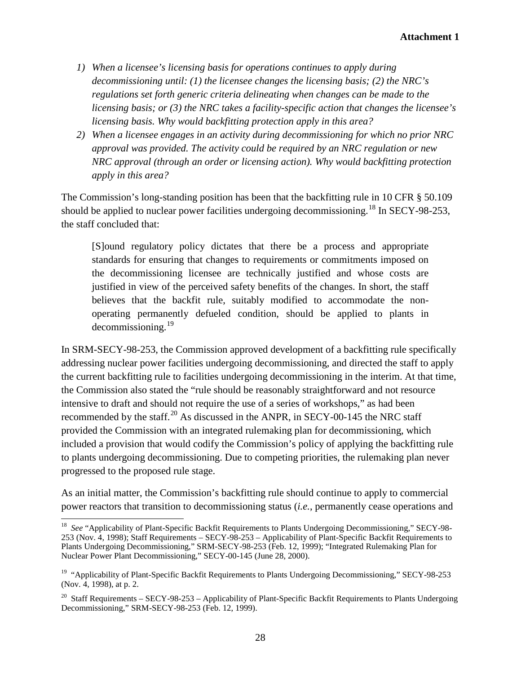- *1) When a licensee's licensing basis for operations continues to apply during decommissioning until: (1) the licensee changes the licensing basis; (2) the NRC's regulations set forth generic criteria delineating when changes can be made to the licensing basis; or (3) the NRC takes a facility-specific action that changes the licensee's licensing basis. Why would backfitting protection apply in this area?*
- *2) When a licensee engages in an activity during decommissioning for which no prior NRC approval was provided. The activity could be required by an NRC regulation or new NRC approval (through an order or licensing action). Why would backfitting protection apply in this area?*

The Commission's long-standing position has been that the backfitting rule in 10 CFR § 50.109 should be applied to nuclear power facilities undergoing decommissioning.<sup>[18](#page-27-0)</sup> In SECY-98-253, the staff concluded that:

[S]ound regulatory policy dictates that there be a process and appropriate standards for ensuring that changes to requirements or commitments imposed on the decommissioning licensee are technically justified and whose costs are justified in view of the perceived safety benefits of the changes. In short, the staff believes that the backfit rule, suitably modified to accommodate the nonoperating permanently defueled condition, should be applied to plants in  $decommissioning.<sup>19</sup>$  $decommissioning.<sup>19</sup>$  $decommissioning.<sup>19</sup>$ 

In SRM-SECY-98-253, the Commission approved development of a backfitting rule specifically addressing nuclear power facilities undergoing decommissioning, and directed the staff to apply the current backfitting rule to facilities undergoing decommissioning in the interim. At that time, the Commission also stated the "rule should be reasonably straightforward and not resource intensive to draft and should not require the use of a series of workshops," as had been recommended by the staff.<sup>[20](#page-27-2)</sup> As discussed in the ANPR, in SECY-00-145 the NRC staff provided the Commission with an integrated rulemaking plan for decommissioning, which included a provision that would codify the Commission's policy of applying the backfitting rule to plants undergoing decommissioning. Due to competing priorities, the rulemaking plan never progressed to the proposed rule stage.

As an initial matter, the Commission's backfitting rule should continue to apply to commercial power reactors that transition to decommissioning status (*i.e.*, permanently cease operations and

<span id="page-27-0"></span><sup>&</sup>lt;sup>18</sup> See "Applicability of Plant-Specific Backfit Requirements to Plants Undergoing Decommissioning," SECY-98-253 (Nov. 4, 1998); Staff Requirements – SECY-98-253 – Applicability of Plant-Specific Backfit Requirements to Plants Undergoing Decommissioning," SRM-SECY-98-253 (Feb. 12, 1999); "Integrated Rulemaking Plan for Nuclear Power Plant Decommissioning," SECY-00-145 (June 28, 2000).

<span id="page-27-1"></span><sup>&</sup>lt;sup>19</sup> "Applicability of Plant-Specific Backfit Requirements to Plants Undergoing Decommissioning," SECY-98-253 (Nov. 4, 1998), at p. 2.

<span id="page-27-2"></span><sup>&</sup>lt;sup>20</sup> Staff Requirements – SECY-98-253 – Applicability of Plant-Specific Backfit Requirements to Plants Undergoing Decommissioning," SRM-SECY-98-253 (Feb. 12, 1999).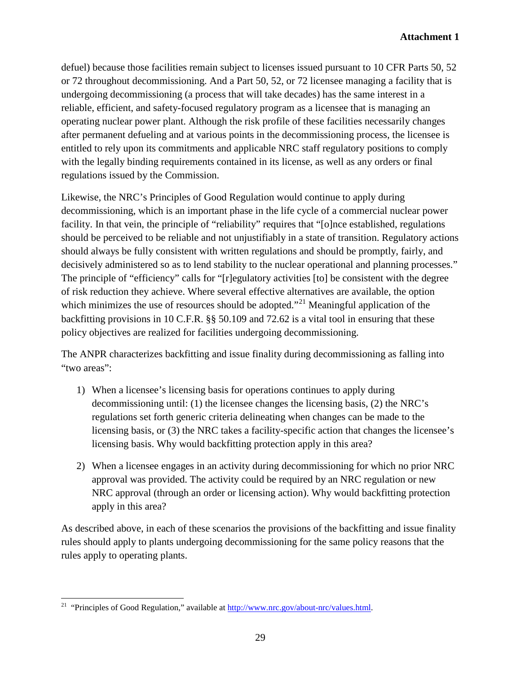defuel) because those facilities remain subject to licenses issued pursuant to 10 CFR Parts 50, 52 or 72 throughout decommissioning. And a Part 50, 52, or 72 licensee managing a facility that is undergoing decommissioning (a process that will take decades) has the same interest in a reliable, efficient, and safety-focused regulatory program as a licensee that is managing an operating nuclear power plant. Although the risk profile of these facilities necessarily changes after permanent defueling and at various points in the decommissioning process, the licensee is entitled to rely upon its commitments and applicable NRC staff regulatory positions to comply with the legally binding requirements contained in its license, as well as any orders or final regulations issued by the Commission.

Likewise, the NRC's Principles of Good Regulation would continue to apply during decommissioning, which is an important phase in the life cycle of a commercial nuclear power facility. In that vein, the principle of "reliability" requires that "[o]nce established, regulations should be perceived to be reliable and not unjustifiably in a state of transition. Regulatory actions should always be fully consistent with written regulations and should be promptly, fairly, and decisively administered so as to lend stability to the nuclear operational and planning processes." The principle of "efficiency" calls for "[r]egulatory activities [to] be consistent with the degree of risk reduction they achieve. Where several effective alternatives are available, the option which minimizes the use of resources should be adopted.<sup> $21$ </sup> Meaningful application of the backfitting provisions in 10 C.F.R. §§ 50.109 and 72.62 is a vital tool in ensuring that these policy objectives are realized for facilities undergoing decommissioning.

The ANPR characterizes backfitting and issue finality during decommissioning as falling into "two areas":

- 1) When a licensee's licensing basis for operations continues to apply during decommissioning until: (1) the licensee changes the licensing basis, (2) the NRC's regulations set forth generic criteria delineating when changes can be made to the licensing basis, or (3) the NRC takes a facility-specific action that changes the licensee's licensing basis. Why would backfitting protection apply in this area?
- 2) When a licensee engages in an activity during decommissioning for which no prior NRC approval was provided. The activity could be required by an NRC regulation or new NRC approval (through an order or licensing action). Why would backfitting protection apply in this area?

As described above, in each of these scenarios the provisions of the backfitting and issue finality rules should apply to plants undergoing decommissioning for the same policy reasons that the rules apply to operating plants.

<span id="page-28-0"></span><sup>&</sup>lt;sup>21</sup> "Principles of Good Regulation," available at  $\frac{http://www.nrc.gov/about-nrc/values.html}{http://www.nrc.gov/about-nrc/values.html}$ .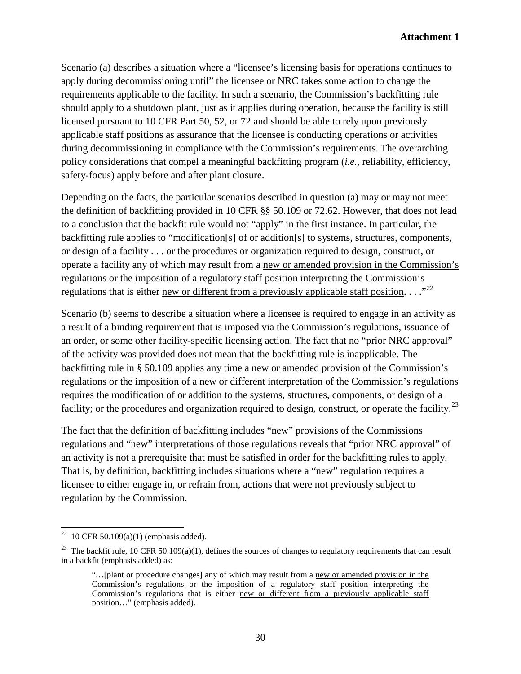Scenario (a) describes a situation where a "licensee's licensing basis for operations continues to apply during decommissioning until" the licensee or NRC takes some action to change the requirements applicable to the facility. In such a scenario, the Commission's backfitting rule should apply to a shutdown plant, just as it applies during operation, because the facility is still licensed pursuant to 10 CFR Part 50, 52, or 72 and should be able to rely upon previously applicable staff positions as assurance that the licensee is conducting operations or activities during decommissioning in compliance with the Commission's requirements. The overarching policy considerations that compel a meaningful backfitting program (*i.e.*, reliability, efficiency, safety-focus) apply before and after plant closure.

Depending on the facts, the particular scenarios described in question (a) may or may not meet the definition of backfitting provided in 10 CFR §§ 50.109 or 72.62. However, that does not lead to a conclusion that the backfit rule would not "apply" in the first instance. In particular, the backfitting rule applies to "modification[s] of or addition[s] to systems, structures, components, or design of a facility . . . or the procedures or organization required to design, construct, or operate a facility any of which may result from a new or amended provision in the Commission's regulations or the imposition of a regulatory staff position interpreting the Commission's regulations that is either new or different from a previously applicable staff position.  $\ldots$ <sup>[22](#page-29-0)</sup>

Scenario (b) seems to describe a situation where a licensee is required to engage in an activity as a result of a binding requirement that is imposed via the Commission's regulations, issuance of an order, or some other facility-specific licensing action. The fact that no "prior NRC approval" of the activity was provided does not mean that the backfitting rule is inapplicable. The backfitting rule in § 50.109 applies any time a new or amended provision of the Commission's regulations or the imposition of a new or different interpretation of the Commission's regulations requires the modification of or addition to the systems, structures, components, or design of a facility; or the procedures and organization required to design, construct, or operate the facility.<sup>[23](#page-29-1)</sup>

The fact that the definition of backfitting includes "new" provisions of the Commissions regulations and "new" interpretations of those regulations reveals that "prior NRC approval" of an activity is not a prerequisite that must be satisfied in order for the backfitting rules to apply. That is, by definition, backfitting includes situations where a "new" regulation requires a licensee to either engage in, or refrain from, actions that were not previously subject to regulation by the Commission.

<span id="page-29-0"></span><sup>&</sup>lt;sup>22</sup> 10 CFR 50.109(a)(1) (emphasis added).

<span id="page-29-1"></span><sup>&</sup>lt;sup>23</sup> The backfit rule, 10 CFR 50.109(a)(1), defines the sources of changes to regulatory requirements that can result in a backfit (emphasis added) as:

<sup>&</sup>quot;... [plant or procedure changes] any of which may result from a new or amended provision in the Commission's regulations or the imposition of a regulatory staff position interpreting the Commission's regulations that is either new or different from a previously applicable staff position…" (emphasis added).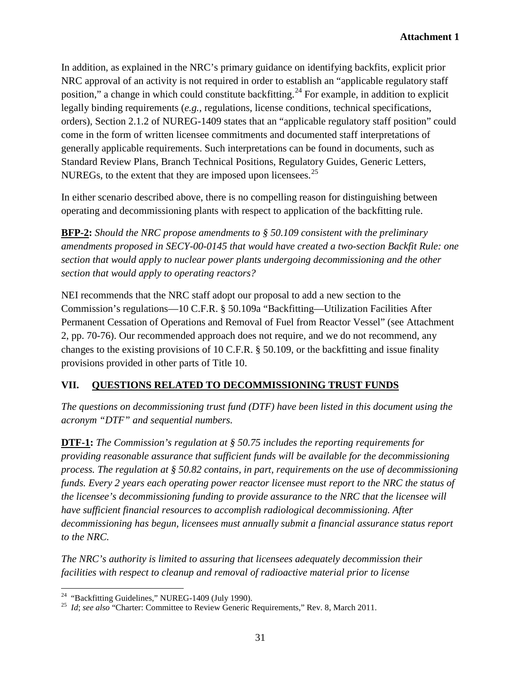In addition, as explained in the NRC's primary guidance on identifying backfits, explicit prior NRC approval of an activity is not required in order to establish an "applicable regulatory staff position," a change in which could constitute backfitting.<sup>[24](#page-30-0)</sup> For example, in addition to explicit legally binding requirements (*e.g.*, regulations, license conditions, technical specifications, orders), Section 2.1.2 of NUREG-1409 states that an "applicable regulatory staff position" could come in the form of written licensee commitments and documented staff interpretations of generally applicable requirements. Such interpretations can be found in documents, such as Standard Review Plans, Branch Technical Positions, Regulatory Guides, Generic Letters, NUREGs, to the extent that they are imposed upon licensees.<sup>[25](#page-30-1)</sup>

In either scenario described above, there is no compelling reason for distinguishing between operating and decommissioning plants with respect to application of the backfitting rule.

**BFP-2:** *Should the NRC propose amendments to § 50.109 consistent with the preliminary amendments proposed in SECY-00-0145 that would have created a two-section Backfit Rule: one section that would apply to nuclear power plants undergoing decommissioning and the other section that would apply to operating reactors?*

NEI recommends that the NRC staff adopt our proposal to add a new section to the Commission's regulations—10 C.F.R. § 50.109a "Backfitting—Utilization Facilities After Permanent Cessation of Operations and Removal of Fuel from Reactor Vessel" (see Attachment 2, pp. 70-76). Our recommended approach does not require, and we do not recommend, any changes to the existing provisions of 10 C.F.R. § 50.109, or the backfitting and issue finality provisions provided in other parts of Title 10.

### **VII. QUESTIONS RELATED TO DECOMMISSIONING TRUST FUNDS**

*The questions on decommissioning trust fund (DTF) have been listed in this document using the acronym "DTF" and sequential numbers.*

**DTF-1:** *The Commission's regulation at § 50.75 includes the reporting requirements for providing reasonable assurance that sufficient funds will be available for the decommissioning process. The regulation at § 50.82 contains, in part, requirements on the use of decommissioning funds. Every 2 years each operating power reactor licensee must report to the NRC the status of the licensee's decommissioning funding to provide assurance to the NRC that the licensee will have sufficient financial resources to accomplish radiological decommissioning. After decommissioning has begun, licensees must annually submit a financial assurance status report to the NRC.*

*The NRC's authority is limited to assuring that licensees adequately decommission their facilities with respect to cleanup and removal of radioactive material prior to license* 

<span id="page-30-1"></span><span id="page-30-0"></span><sup>&</sup>lt;sup>24</sup> "Backfitting Guidelines," NUREG-1409 (July 1990).<br><sup>25</sup> *Id*; *see also* "Charter: Committee to Review Generic Requirements," Rev. 8, March 2011.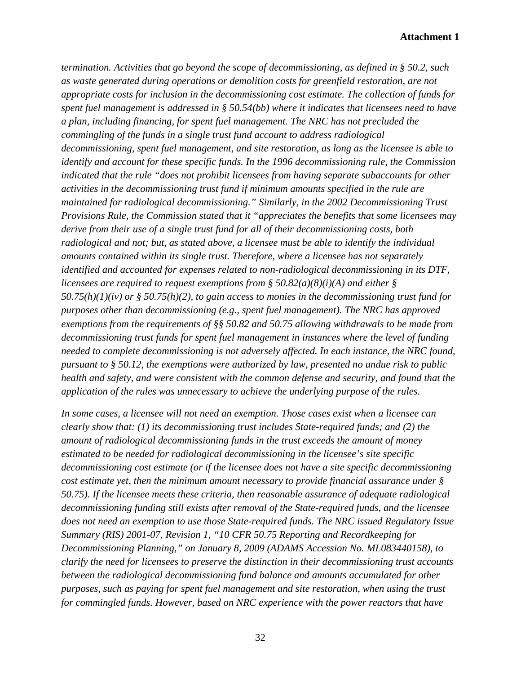*termination. Activities that go beyond the scope of decommissioning, as defined in § 50.2, such as waste generated during operations or demolition costs for greenfield restoration, are not appropriate costs for inclusion in the decommissioning cost estimate. The collection of funds for spent fuel management is addressed in § 50.54(bb) where it indicates that licensees need to have a plan, including financing, for spent fuel management. The NRC has not precluded the commingling of the funds in a single trust fund account to address radiological decommissioning, spent fuel management, and site restoration, as long as the licensee is able to identify and account for these specific funds. In the 1996 decommissioning rule, the Commission indicated that the rule "does not prohibit licensees from having separate subaccounts for other activities in the decommissioning trust fund if minimum amounts specified in the rule are maintained for radiological decommissioning." Similarly, in the 2002 Decommissioning Trust Provisions Rule, the Commission stated that it "appreciates the benefits that some licensees may derive from their use of a single trust fund for all of their decommissioning costs, both radiological and not; but, as stated above, a licensee must be able to identify the individual amounts contained within its single trust. Therefore, where a licensee has not separately identified and accounted for expenses related to non-radiological decommissioning in its DTF, licensees are required to request exemptions from § 50.82(a)(8)(i)(A) and either § 50.75(h)(1)(iv) or § 50.75(h)(2), to gain access to monies in the decommissioning trust fund for purposes other than decommissioning (e.g., spent fuel management). The NRC has approved exemptions from the requirements of §§ 50.82 and 50.75 allowing withdrawals to be made from decommissioning trust funds for spent fuel management in instances where the level of funding needed to complete decommissioning is not adversely affected. In each instance, the NRC found, pursuant to § 50.12, the exemptions were authorized by law, presented no undue risk to public health and safety, and were consistent with the common defense and security, and found that the application of the rules was unnecessary to achieve the underlying purpose of the rules.*

*In some cases, a licensee will not need an exemption. Those cases exist when a licensee can clearly show that: (1) its decommissioning trust includes State-required funds; and (2) the amount of radiological decommissioning funds in the trust exceeds the amount of money estimated to be needed for radiological decommissioning in the licensee's site specific decommissioning cost estimate (or if the licensee does not have a site specific decommissioning cost estimate yet, then the minimum amount necessary to provide financial assurance under § 50.75). If the licensee meets these criteria, then reasonable assurance of adequate radiological decommissioning funding still exists after removal of the State-required funds, and the licensee does not need an exemption to use those State-required funds. The NRC issued Regulatory Issue Summary (RIS) 2001-07, Revision 1, "10 CFR 50.75 Reporting and Recordkeeping for Decommissioning Planning," on January 8, 2009 (ADAMS Accession No. ML083440158), to clarify the need for licensees to preserve the distinction in their decommissioning trust accounts between the radiological decommissioning fund balance and amounts accumulated for other purposes, such as paying for spent fuel management and site restoration, when using the trust for commingled funds. However, based on NRC experience with the power reactors that have*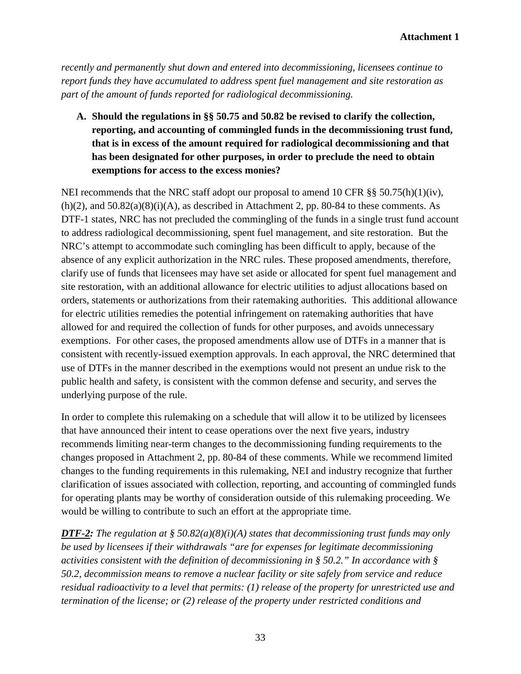*recently and permanently shut down and entered into decommissioning, licensees continue to report funds they have accumulated to address spent fuel management and site restoration as part of the amount of funds reported for radiological decommissioning.*

**A. Should the regulations in §§ 50.75 and 50.82 be revised to clarify the collection, reporting, and accounting of commingled funds in the decommissioning trust fund, that is in excess of the amount required for radiological decommissioning and that has been designated for other purposes, in order to preclude the need to obtain exemptions for access to the excess monies?**

NEI recommends that the NRC staff adopt our proposal to amend 10 CFR §§ 50.75(h)(1)(iv),  $(h)(2)$ , and  $50.82(a)(8)(i)(A)$ , as described in Attachment 2, pp. 80-84 to these comments. As DTF-1 states, NRC has not precluded the commingling of the funds in a single trust fund account to address radiological decommissioning, spent fuel management, and site restoration. But the NRC's attempt to accommodate such comingling has been difficult to apply, because of the absence of any explicit authorization in the NRC rules. These proposed amendments, therefore, clarify use of funds that licensees may have set aside or allocated for spent fuel management and site restoration, with an additional allowance for electric utilities to adjust allocations based on orders, statements or authorizations from their ratemaking authorities. This additional allowance for electric utilities remedies the potential infringement on ratemaking authorities that have allowed for and required the collection of funds for other purposes, and avoids unnecessary exemptions. For other cases, the proposed amendments allow use of DTFs in a manner that is consistent with recently-issued exemption approvals. In each approval, the NRC determined that use of DTFs in the manner described in the exemptions would not present an undue risk to the public health and safety, is consistent with the common defense and security, and serves the underlying purpose of the rule.

In order to complete this rulemaking on a schedule that will allow it to be utilized by licensees that have announced their intent to cease operations over the next five years, industry recommends limiting near-term changes to the decommissioning funding requirements to the changes proposed in Attachment 2, pp. 80-84 of these comments. While we recommend limited changes to the funding requirements in this rulemaking, NEI and industry recognize that further clarification of issues associated with collection, reporting, and accounting of commingled funds for operating plants may be worthy of consideration outside of this rulemaking proceeding. We would be willing to contribute to such an effort at the appropriate time.

*DTF-2: The regulation at § 50.82(a)(8)(i)(A) states that decommissioning trust funds may only be used by licensees if their withdrawals "are for expenses for legitimate decommissioning activities consistent with the definition of decommissioning in § 50.2." In accordance with § 50.2, decommission means to remove a nuclear facility or site safely from service and reduce residual radioactivity to a level that permits: (1) release of the property for unrestricted use and termination of the license; or (2) release of the property under restricted conditions and*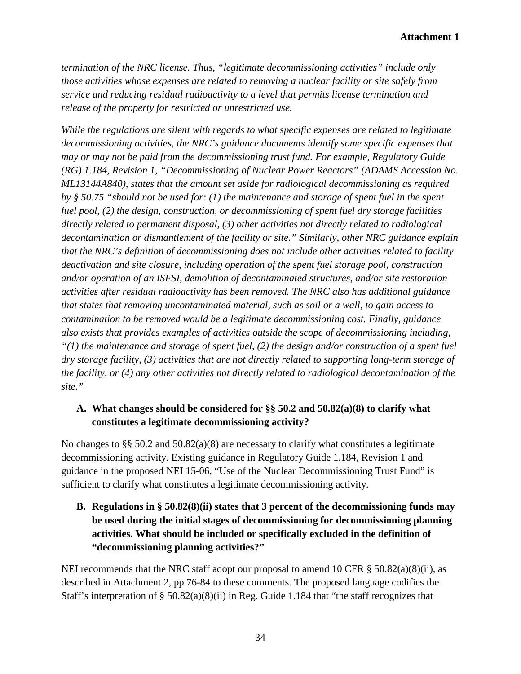*termination of the NRC license. Thus, "legitimate decommissioning activities" include only those activities whose expenses are related to removing a nuclear facility or site safely from service and reducing residual radioactivity to a level that permits license termination and release of the property for restricted or unrestricted use.*

*While the regulations are silent with regards to what specific expenses are related to legitimate decommissioning activities, the NRC's guidance documents identify some specific expenses that may or may not be paid from the decommissioning trust fund. For example, Regulatory Guide (RG) 1.184, Revision 1, "Decommissioning of Nuclear Power Reactors" (ADAMS Accession No. ML13144A840), states that the amount set aside for radiological decommissioning as required by § 50.75 "should not be used for: (1) the maintenance and storage of spent fuel in the spent fuel pool, (2) the design, construction, or decommissioning of spent fuel dry storage facilities directly related to permanent disposal, (3) other activities not directly related to radiological decontamination or dismantlement of the facility or site." Similarly, other NRC guidance explain that the NRC's definition of decommissioning does not include other activities related to facility deactivation and site closure, including operation of the spent fuel storage pool, construction and/or operation of an ISFSI, demolition of decontaminated structures, and/or site restoration activities after residual radioactivity has been removed. The NRC also has additional guidance that states that removing uncontaminated material, such as soil or a wall, to gain access to contamination to be removed would be a legitimate decommissioning cost. Finally, guidance also exists that provides examples of activities outside the scope of decommissioning including, "(1) the maintenance and storage of spent fuel, (2) the design and/or construction of a spent fuel dry storage facility, (3) activities that are not directly related to supporting long-term storage of the facility, or (4) any other activities not directly related to radiological decontamination of the site."*

### **A. What changes should be considered for §§ 50.2 and 50.82(a)(8) to clarify what constitutes a legitimate decommissioning activity?**

No changes to §§ 50.2 and  $50.82(a)(8)$  are necessary to clarify what constitutes a legitimate decommissioning activity. Existing guidance in Regulatory Guide 1.184, Revision 1 and guidance in the proposed NEI 15-06, "Use of the Nuclear Decommissioning Trust Fund" is sufficient to clarify what constitutes a legitimate decommissioning activity.

**B. Regulations in § 50.82(8)(ii) states that 3 percent of the decommissioning funds may be used during the initial stages of decommissioning for decommissioning planning activities. What should be included or specifically excluded in the definition of "decommissioning planning activities?"**

NEI recommends that the NRC staff adopt our proposal to amend 10 CFR  $\S$  50.82(a)(8)(ii), as described in Attachment 2, pp 76-84 to these comments. The proposed language codifies the Staff's interpretation of § 50.82(a)(8)(ii) in Reg. Guide 1.184 that "the staff recognizes that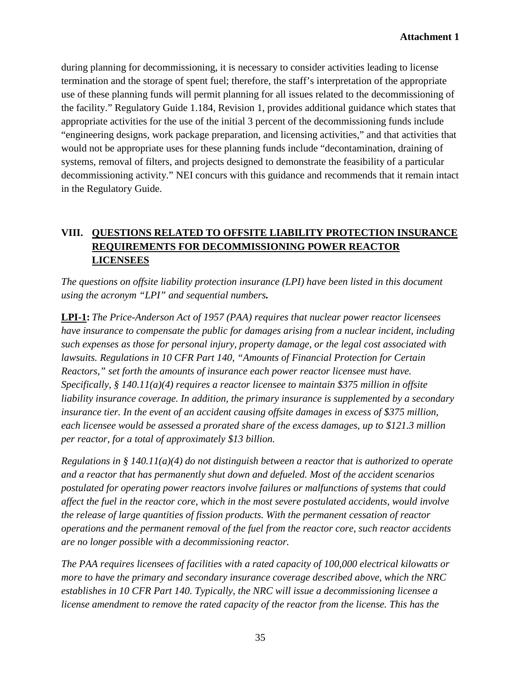during planning for decommissioning, it is necessary to consider activities leading to license termination and the storage of spent fuel; therefore, the staff's interpretation of the appropriate use of these planning funds will permit planning for all issues related to the decommissioning of the facility." Regulatory Guide 1.184, Revision 1, provides additional guidance which states that appropriate activities for the use of the initial 3 percent of the decommissioning funds include "engineering designs, work package preparation, and licensing activities," and that activities that would not be appropriate uses for these planning funds include "decontamination, draining of systems, removal of filters, and projects designed to demonstrate the feasibility of a particular decommissioning activity." NEI concurs with this guidance and recommends that it remain intact in the Regulatory Guide.

# **VIII. QUESTIONS RELATED TO OFFSITE LIABILITY PROTECTION INSURANCE REQUIREMENTS FOR DECOMMISSIONING POWER REACTOR LICENSEES**

*The questions on offsite liability protection insurance (LPI) have been listed in this document using the acronym "LPI" and sequential numbers.*

**LPI-1:** *The Price-Anderson Act of 1957 (PAA) requires that nuclear power reactor licensees have insurance to compensate the public for damages arising from a nuclear incident, including such expenses as those for personal injury, property damage, or the legal cost associated with lawsuits. Regulations in 10 CFR Part 140, "Amounts of Financial Protection for Certain Reactors," set forth the amounts of insurance each power reactor licensee must have. Specifically, § 140.11(a)(4) requires a reactor licensee to maintain \$375 million in offsite liability insurance coverage. In addition, the primary insurance is supplemented by a secondary insurance tier. In the event of an accident causing offsite damages in excess of \$375 million, each licensee would be assessed a prorated share of the excess damages, up to \$121.3 million per reactor, for a total of approximately \$13 billion.* 

*Regulations in § 140.11(a)(4) do not distinguish between a reactor that is authorized to operate and a reactor that has permanently shut down and defueled. Most of the accident scenarios postulated for operating power reactors involve failures or malfunctions of systems that could affect the fuel in the reactor core, which in the most severe postulated accidents, would involve the release of large quantities of fission products. With the permanent cessation of reactor operations and the permanent removal of the fuel from the reactor core, such reactor accidents are no longer possible with a decommissioning reactor.*

*The PAA requires licensees of facilities with a rated capacity of 100,000 electrical kilowatts or more to have the primary and secondary insurance coverage described above, which the NRC establishes in 10 CFR Part 140. Typically, the NRC will issue a decommissioning licensee a license amendment to remove the rated capacity of the reactor from the license. This has the*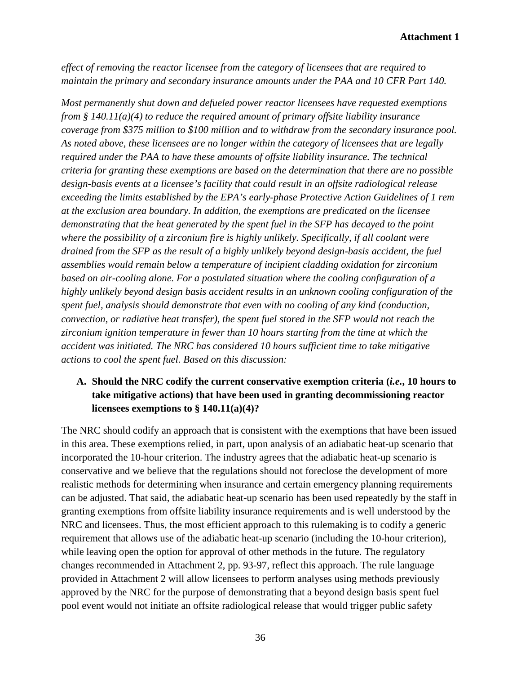#### **Attachment 1**

*effect of removing the reactor licensee from the category of licensees that are required to maintain the primary and secondary insurance amounts under the PAA and 10 CFR Part 140.*

*Most permanently shut down and defueled power reactor licensees have requested exemptions from § 140.11(a)(4) to reduce the required amount of primary offsite liability insurance coverage from \$375 million to \$100 million and to withdraw from the secondary insurance pool. As noted above, these licensees are no longer within the category of licensees that are legally required under the PAA to have these amounts of offsite liability insurance. The technical criteria for granting these exemptions are based on the determination that there are no possible design-basis events at a licensee's facility that could result in an offsite radiological release exceeding the limits established by the EPA's early-phase Protective Action Guidelines of 1 rem at the exclusion area boundary. In addition, the exemptions are predicated on the licensee demonstrating that the heat generated by the spent fuel in the SFP has decayed to the point where the possibility of a zirconium fire is highly unlikely. Specifically, if all coolant were drained from the SFP as the result of a highly unlikely beyond design-basis accident, the fuel assemblies would remain below a temperature of incipient cladding oxidation for zirconium based on air-cooling alone. For a postulated situation where the cooling configuration of a highly unlikely beyond design basis accident results in an unknown cooling configuration of the spent fuel, analysis should demonstrate that even with no cooling of any kind (conduction, convection, or radiative heat transfer), the spent fuel stored in the SFP would not reach the zirconium ignition temperature in fewer than 10 hours starting from the time at which the accident was initiated. The NRC has considered 10 hours sufficient time to take mitigative actions to cool the spent fuel. Based on this discussion:*

### **A. Should the NRC codify the current conservative exemption criteria (***i.e.***, 10 hours to take mitigative actions) that have been used in granting decommissioning reactor licensees exemptions to § 140.11(a)(4)?**

The NRC should codify an approach that is consistent with the exemptions that have been issued in this area. These exemptions relied, in part, upon analysis of an adiabatic heat-up scenario that incorporated the 10-hour criterion. The industry agrees that the adiabatic heat-up scenario is conservative and we believe that the regulations should not foreclose the development of more realistic methods for determining when insurance and certain emergency planning requirements can be adjusted. That said, the adiabatic heat-up scenario has been used repeatedly by the staff in granting exemptions from offsite liability insurance requirements and is well understood by the NRC and licensees. Thus, the most efficient approach to this rulemaking is to codify a generic requirement that allows use of the adiabatic heat-up scenario (including the 10-hour criterion), while leaving open the option for approval of other methods in the future. The regulatory changes recommended in Attachment 2, pp. 93-97, reflect this approach. The rule language provided in Attachment 2 will allow licensees to perform analyses using methods previously approved by the NRC for the purpose of demonstrating that a beyond design basis spent fuel pool event would not initiate an offsite radiological release that would trigger public safety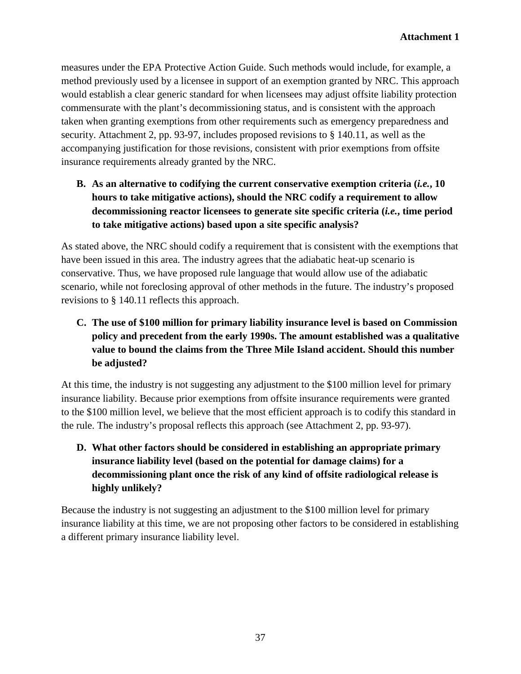measures under the EPA Protective Action Guide. Such methods would include, for example, a method previously used by a licensee in support of an exemption granted by NRC. This approach would establish a clear generic standard for when licensees may adjust offsite liability protection commensurate with the plant's decommissioning status, and is consistent with the approach taken when granting exemptions from other requirements such as emergency preparedness and security. Attachment 2, pp. 93-97, includes proposed revisions to § 140.11, as well as the accompanying justification for those revisions, consistent with prior exemptions from offsite insurance requirements already granted by the NRC.

**B. As an alternative to codifying the current conservative exemption criteria (***i.e.***, 10 hours to take mitigative actions), should the NRC codify a requirement to allow decommissioning reactor licensees to generate site specific criteria (***i.e.***, time period to take mitigative actions) based upon a site specific analysis?**

As stated above, the NRC should codify a requirement that is consistent with the exemptions that have been issued in this area. The industry agrees that the adiabatic heat-up scenario is conservative. Thus, we have proposed rule language that would allow use of the adiabatic scenario, while not foreclosing approval of other methods in the future. The industry's proposed revisions to § 140.11 reflects this approach.

**C. The use of \$100 million for primary liability insurance level is based on Commission policy and precedent from the early 1990s. The amount established was a qualitative value to bound the claims from the Three Mile Island accident. Should this number be adjusted?**

At this time, the industry is not suggesting any adjustment to the \$100 million level for primary insurance liability. Because prior exemptions from offsite insurance requirements were granted to the \$100 million level, we believe that the most efficient approach is to codify this standard in the rule. The industry's proposal reflects this approach (see Attachment 2, pp. 93-97).

**D. What other factors should be considered in establishing an appropriate primary insurance liability level (based on the potential for damage claims) for a decommissioning plant once the risk of any kind of offsite radiological release is highly unlikely?**

Because the industry is not suggesting an adjustment to the \$100 million level for primary insurance liability at this time, we are not proposing other factors to be considered in establishing a different primary insurance liability level.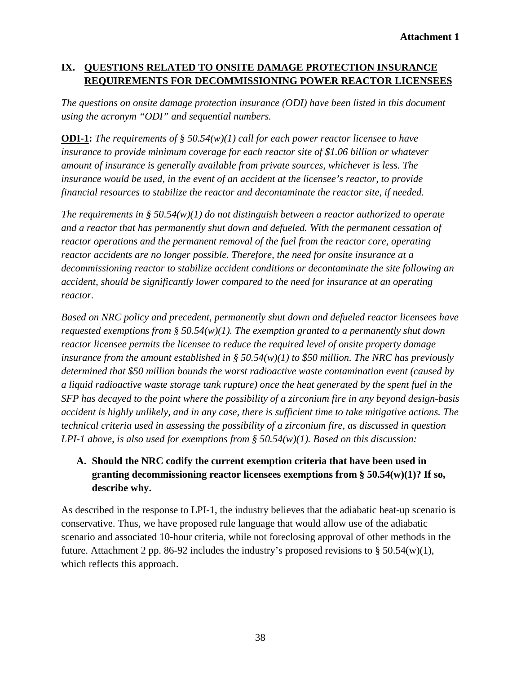### **IX. QUESTIONS RELATED TO ONSITE DAMAGE PROTECTION INSURANCE REQUIREMENTS FOR DECOMMISSIONING POWER REACTOR LICENSEES**

*The questions on onsite damage protection insurance (ODI) have been listed in this document using the acronym "ODI" and sequential numbers.*

**ODI-1:** *The requirements of § 50.54(w)(1) call for each power reactor licensee to have insurance to provide minimum coverage for each reactor site of \$1.06 billion or whatever amount of insurance is generally available from private sources, whichever is less. The insurance would be used, in the event of an accident at the licensee's reactor, to provide financial resources to stabilize the reactor and decontaminate the reactor site, if needed.*

*The requirements in § 50.54(w)(1) do not distinguish between a reactor authorized to operate and a reactor that has permanently shut down and defueled. With the permanent cessation of reactor operations and the permanent removal of the fuel from the reactor core, operating reactor accidents are no longer possible. Therefore, the need for onsite insurance at a decommissioning reactor to stabilize accident conditions or decontaminate the site following an accident, should be significantly lower compared to the need for insurance at an operating reactor.*

*Based on NRC policy and precedent, permanently shut down and defueled reactor licensees have requested exemptions from § 50.54(w)(1). The exemption granted to a permanently shut down reactor licensee permits the licensee to reduce the required level of onsite property damage insurance from the amount established in § 50.54(w)(1) to \$50 million. The NRC has previously determined that \$50 million bounds the worst radioactive waste contamination event (caused by a liquid radioactive waste storage tank rupture) once the heat generated by the spent fuel in the SFP has decayed to the point where the possibility of a zirconium fire in any beyond design-basis accident is highly unlikely, and in any case, there is sufficient time to take mitigative actions. The technical criteria used in assessing the possibility of a zirconium fire, as discussed in question LPI-1 above, is also used for exemptions from § 50.54(w)(1). Based on this discussion:* 

# **A. Should the NRC codify the current exemption criteria that have been used in granting decommissioning reactor licensees exemptions from § 50.54(w)(1)? If so, describe why.**

As described in the response to LPI-1, the industry believes that the adiabatic heat-up scenario is conservative. Thus, we have proposed rule language that would allow use of the adiabatic scenario and associated 10-hour criteria, while not foreclosing approval of other methods in the future. Attachment 2 pp. 86-92 includes the industry's proposed revisions to  $\S 50.54(w)(1)$ , which reflects this approach.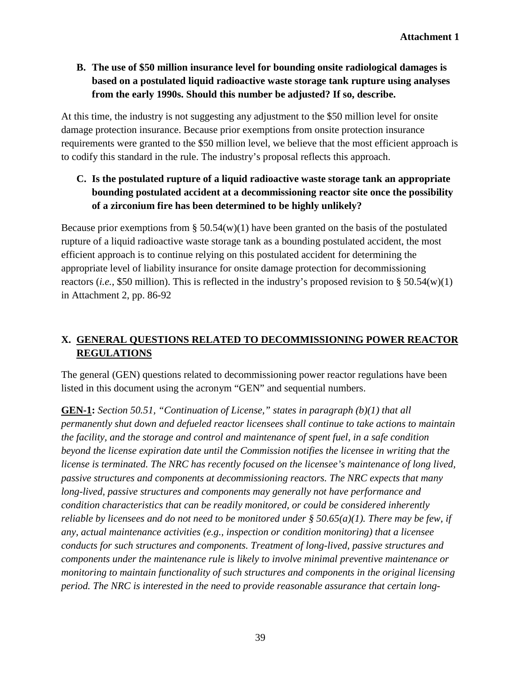**B. The use of \$50 million insurance level for bounding onsite radiological damages is based on a postulated liquid radioactive waste storage tank rupture using analyses from the early 1990s. Should this number be adjusted? If so, describe.**

At this time, the industry is not suggesting any adjustment to the \$50 million level for onsite damage protection insurance. Because prior exemptions from onsite protection insurance requirements were granted to the \$50 million level, we believe that the most efficient approach is to codify this standard in the rule. The industry's proposal reflects this approach.

# **C. Is the postulated rupture of a liquid radioactive waste storage tank an appropriate bounding postulated accident at a decommissioning reactor site once the possibility of a zirconium fire has been determined to be highly unlikely?**

Because prior exemptions from  $\S 50.54(w)(1)$  have been granted on the basis of the postulated rupture of a liquid radioactive waste storage tank as a bounding postulated accident, the most efficient approach is to continue relying on this postulated accident for determining the appropriate level of liability insurance for onsite damage protection for decommissioning reactors (*i.e.*, \$50 million). This is reflected in the industry's proposed revision to § 50.54(w)(1) in Attachment 2, pp. 86-92

# **X. GENERAL QUESTIONS RELATED TO DECOMMISSIONING POWER REACTOR REGULATIONS**

The general (GEN) questions related to decommissioning power reactor regulations have been listed in this document using the acronym "GEN" and sequential numbers.

**GEN-1:** *Section 50.51, "Continuation of License," states in paragraph (b)(1) that all permanently shut down and defueled reactor licensees shall continue to take actions to maintain the facility, and the storage and control and maintenance of spent fuel, in a safe condition beyond the license expiration date until the Commission notifies the licensee in writing that the license is terminated. The NRC has recently focused on the licensee's maintenance of long lived, passive structures and components at decommissioning reactors. The NRC expects that many long-lived, passive structures and components may generally not have performance and condition characteristics that can be readily monitored, or could be considered inherently reliable by licensees and do not need to be monitored under § 50.65(a)(1). There may be few, if any, actual maintenance activities (e.g., inspection or condition monitoring) that a licensee conducts for such structures and components. Treatment of long-lived, passive structures and components under the maintenance rule is likely to involve minimal preventive maintenance or monitoring to maintain functionality of such structures and components in the original licensing period. The NRC is interested in the need to provide reasonable assurance that certain long-*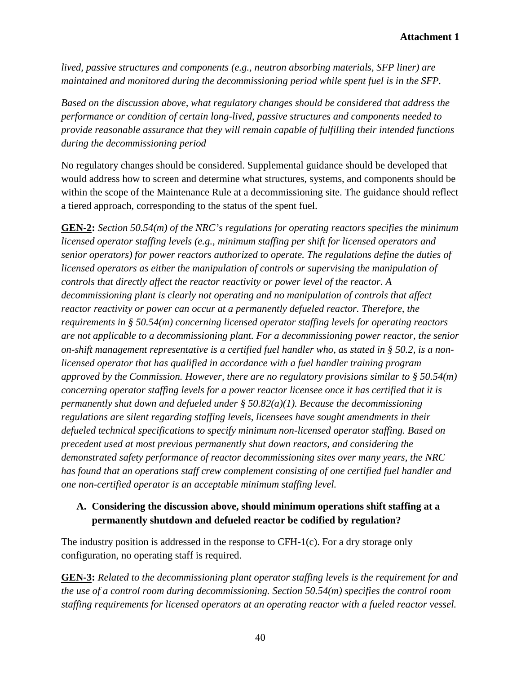*lived, passive structures and components (e.g., neutron absorbing materials, SFP liner) are maintained and monitored during the decommissioning period while spent fuel is in the SFP.*

*Based on the discussion above, what regulatory changes should be considered that address the performance or condition of certain long-lived, passive structures and components needed to provide reasonable assurance that they will remain capable of fulfilling their intended functions during the decommissioning period*

No regulatory changes should be considered. Supplemental guidance should be developed that would address how to screen and determine what structures, systems, and components should be within the scope of the Maintenance Rule at a decommissioning site. The guidance should reflect a tiered approach, corresponding to the status of the spent fuel.

**GEN-2:** *Section 50.54(m) of the NRC's regulations for operating reactors specifies the minimum licensed operator staffing levels (e.g., minimum staffing per shift for licensed operators and senior operators) for power reactors authorized to operate. The regulations define the duties of licensed operators as either the manipulation of controls or supervising the manipulation of controls that directly affect the reactor reactivity or power level of the reactor. A decommissioning plant is clearly not operating and no manipulation of controls that affect reactor reactivity or power can occur at a permanently defueled reactor. Therefore, the requirements in § 50.54(m) concerning licensed operator staffing levels for operating reactors are not applicable to a decommissioning plant. For a decommissioning power reactor, the senior on-shift management representative is a certified fuel handler who, as stated in § 50.2, is a nonlicensed operator that has qualified in accordance with a fuel handler training program approved by the Commission. However, there are no regulatory provisions similar to § 50.54(m) concerning operator staffing levels for a power reactor licensee once it has certified that it is permanently shut down and defueled under § 50.82(a)(1). Because the decommissioning regulations are silent regarding staffing levels, licensees have sought amendments in their defueled technical specifications to specify minimum non-licensed operator staffing. Based on precedent used at most previous permanently shut down reactors, and considering the demonstrated safety performance of reactor decommissioning sites over many years, the NRC has found that an operations staff crew complement consisting of one certified fuel handler and one non-certified operator is an acceptable minimum staffing level.*

### **A. Considering the discussion above, should minimum operations shift staffing at a permanently shutdown and defueled reactor be codified by regulation?**

The industry position is addressed in the response to CFH-1(c). For a dry storage only configuration, no operating staff is required.

**GEN-3:** *Related to the decommissioning plant operator staffing levels is the requirement for and the use of a control room during decommissioning. Section 50.54(m) specifies the control room staffing requirements for licensed operators at an operating reactor with a fueled reactor vessel.*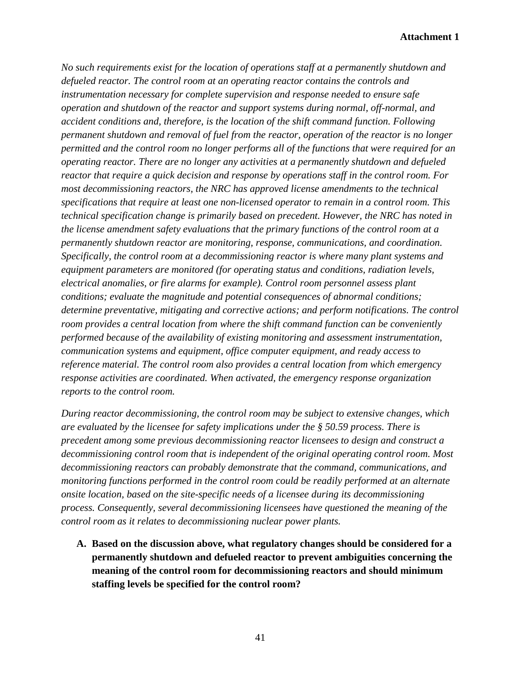#### **Attachment 1**

*No such requirements exist for the location of operations staff at a permanently shutdown and defueled reactor. The control room at an operating reactor contains the controls and instrumentation necessary for complete supervision and response needed to ensure safe operation and shutdown of the reactor and support systems during normal, off-normal, and accident conditions and, therefore, is the location of the shift command function. Following permanent shutdown and removal of fuel from the reactor, operation of the reactor is no longer permitted and the control room no longer performs all of the functions that were required for an operating reactor. There are no longer any activities at a permanently shutdown and defueled reactor that require a quick decision and response by operations staff in the control room. For most decommissioning reactors, the NRC has approved license amendments to the technical specifications that require at least one non-licensed operator to remain in a control room. This technical specification change is primarily based on precedent. However, the NRC has noted in the license amendment safety evaluations that the primary functions of the control room at a permanently shutdown reactor are monitoring, response, communications, and coordination. Specifically, the control room at a decommissioning reactor is where many plant systems and equipment parameters are monitored (for operating status and conditions, radiation levels, electrical anomalies, or fire alarms for example). Control room personnel assess plant conditions; evaluate the magnitude and potential consequences of abnormal conditions; determine preventative, mitigating and corrective actions; and perform notifications. The control room provides a central location from where the shift command function can be conveniently performed because of the availability of existing monitoring and assessment instrumentation, communication systems and equipment, office computer equipment, and ready access to reference material. The control room also provides a central location from which emergency response activities are coordinated. When activated, the emergency response organization reports to the control room.*

*During reactor decommissioning, the control room may be subject to extensive changes, which are evaluated by the licensee for safety implications under the § 50.59 process. There is precedent among some previous decommissioning reactor licensees to design and construct a decommissioning control room that is independent of the original operating control room. Most decommissioning reactors can probably demonstrate that the command, communications, and monitoring functions performed in the control room could be readily performed at an alternate onsite location, based on the site-specific needs of a licensee during its decommissioning process. Consequently, several decommissioning licensees have questioned the meaning of the control room as it relates to decommissioning nuclear power plants.*

**A. Based on the discussion above, what regulatory changes should be considered for a permanently shutdown and defueled reactor to prevent ambiguities concerning the meaning of the control room for decommissioning reactors and should minimum staffing levels be specified for the control room?**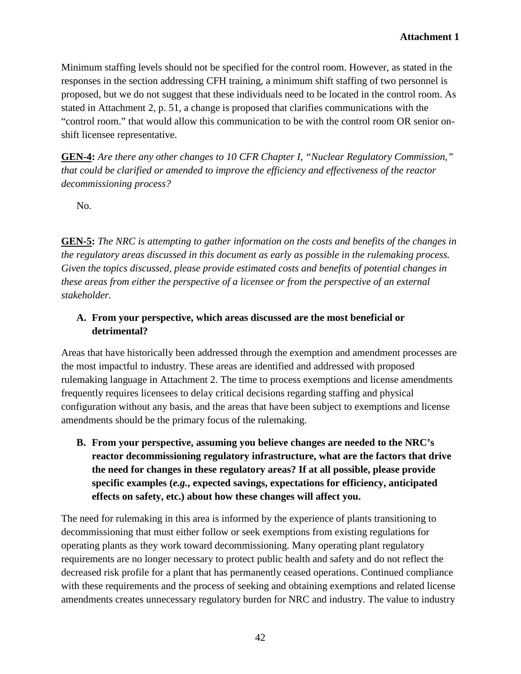Minimum staffing levels should not be specified for the control room. However, as stated in the responses in the section addressing CFH training, a minimum shift staffing of two personnel is proposed, but we do not suggest that these individuals need to be located in the control room. As stated in Attachment 2, p. 51, a change is proposed that clarifies communications with the "control room." that would allow this communication to be with the control room OR senior onshift licensee representative.

**GEN-4:** *Are there any other changes to 10 CFR Chapter I, "Nuclear Regulatory Commission," that could be clarified or amended to improve the efficiency and effectiveness of the reactor decommissioning process?*

No.

**GEN-5:** *The NRC is attempting to gather information on the costs and benefits of the changes in the regulatory areas discussed in this document as early as possible in the rulemaking process. Given the topics discussed, please provide estimated costs and benefits of potential changes in these areas from either the perspective of a licensee or from the perspective of an external stakeholder.* 

### **A. From your perspective, which areas discussed are the most beneficial or detrimental?**

Areas that have historically been addressed through the exemption and amendment processes are the most impactful to industry. These areas are identified and addressed with proposed rulemaking language in Attachment 2. The time to process exemptions and license amendments frequently requires licensees to delay critical decisions regarding staffing and physical configuration without any basis, and the areas that have been subject to exemptions and license amendments should be the primary focus of the rulemaking.

**B. From your perspective, assuming you believe changes are needed to the NRC's reactor decommissioning regulatory infrastructure, what are the factors that drive the need for changes in these regulatory areas? If at all possible, please provide specific examples (***e.g.***, expected savings, expectations for efficiency, anticipated effects on safety, etc.) about how these changes will affect you.**

The need for rulemaking in this area is informed by the experience of plants transitioning to decommissioning that must either follow or seek exemptions from existing regulations for operating plants as they work toward decommissioning. Many operating plant regulatory requirements are no longer necessary to protect public health and safety and do not reflect the decreased risk profile for a plant that has permanently ceased operations. Continued compliance with these requirements and the process of seeking and obtaining exemptions and related license amendments creates unnecessary regulatory burden for NRC and industry. The value to industry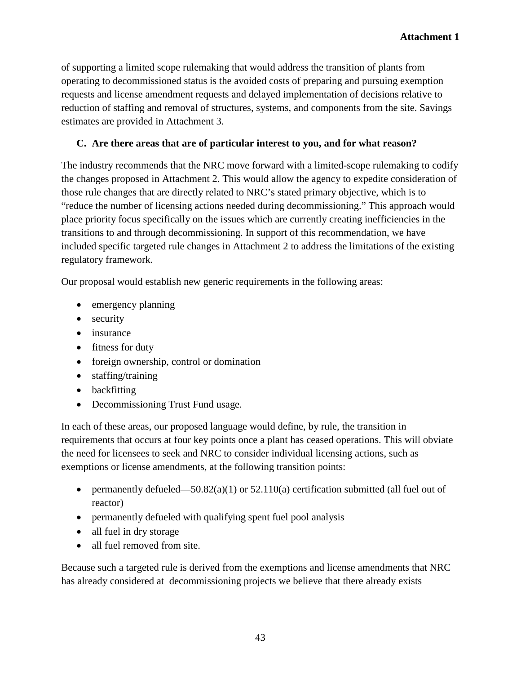of supporting a limited scope rulemaking that would address the transition of plants from operating to decommissioned status is the avoided costs of preparing and pursuing exemption requests and license amendment requests and delayed implementation of decisions relative to reduction of staffing and removal of structures, systems, and components from the site. Savings estimates are provided in Attachment 3.

### **C. Are there areas that are of particular interest to you, and for what reason?**

The industry recommends that the NRC move forward with a limited-scope rulemaking to codify the changes proposed in Attachment 2. This would allow the agency to expedite consideration of those rule changes that are directly related to NRC's stated primary objective, which is to "reduce the number of licensing actions needed during decommissioning." This approach would place priority focus specifically on the issues which are currently creating inefficiencies in the transitions to and through decommissioning. In support of this recommendation, we have included specific targeted rule changes in Attachment 2 to address the limitations of the existing regulatory framework.

Our proposal would establish new generic requirements in the following areas:

- emergency planning
- security
- insurance
- fitness for duty
- foreign ownership, control or domination
- staffing/training
- backfitting
- Decommissioning Trust Fund usage.

In each of these areas, our proposed language would define, by rule, the transition in requirements that occurs at four key points once a plant has ceased operations. This will obviate the need for licensees to seek and NRC to consider individual licensing actions, such as exemptions or license amendments, at the following transition points:

- permanently defueled—50.82(a)(1) or 52.110(a) certification submitted (all fuel out of reactor)
- permanently defueled with qualifying spent fuel pool analysis
- all fuel in dry storage
- all fuel removed from site.

Because such a targeted rule is derived from the exemptions and license amendments that NRC has already considered at decommissioning projects we believe that there already exists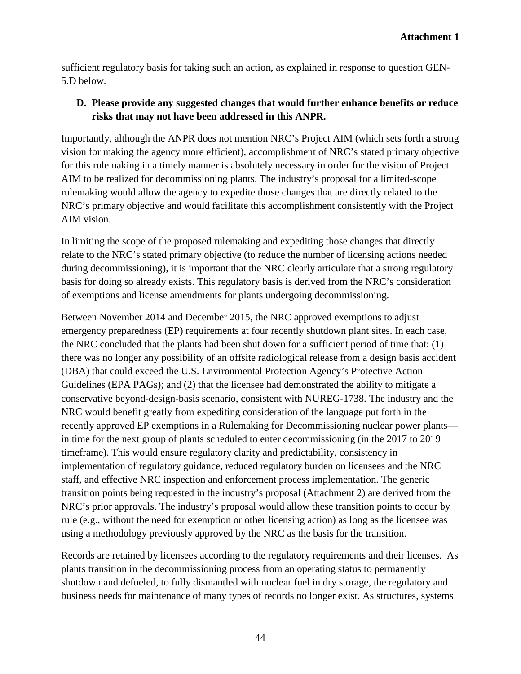sufficient regulatory basis for taking such an action, as explained in response to question GEN-5.D below.

### **D. Please provide any suggested changes that would further enhance benefits or reduce risks that may not have been addressed in this ANPR.**

Importantly, although the ANPR does not mention NRC's Project AIM (which sets forth a strong vision for making the agency more efficient), accomplishment of NRC's stated primary objective for this rulemaking in a timely manner is absolutely necessary in order for the vision of Project AIM to be realized for decommissioning plants. The industry's proposal for a limited-scope rulemaking would allow the agency to expedite those changes that are directly related to the NRC's primary objective and would facilitate this accomplishment consistently with the Project AIM vision.

In limiting the scope of the proposed rulemaking and expediting those changes that directly relate to the NRC's stated primary objective (to reduce the number of licensing actions needed during decommissioning), it is important that the NRC clearly articulate that a strong regulatory basis for doing so already exists. This regulatory basis is derived from the NRC's consideration of exemptions and license amendments for plants undergoing decommissioning.

Between November 2014 and December 2015, the NRC approved exemptions to adjust emergency preparedness (EP) requirements at four recently shutdown plant sites. In each case, the NRC concluded that the plants had been shut down for a sufficient period of time that: (1) there was no longer any possibility of an offsite radiological release from a design basis accident (DBA) that could exceed the U.S. Environmental Protection Agency's Protective Action Guidelines (EPA PAGs); and (2) that the licensee had demonstrated the ability to mitigate a conservative beyond-design-basis scenario, consistent with NUREG-1738. The industry and the NRC would benefit greatly from expediting consideration of the language put forth in the recently approved EP exemptions in a Rulemaking for Decommissioning nuclear power plants in time for the next group of plants scheduled to enter decommissioning (in the 2017 to 2019 timeframe). This would ensure regulatory clarity and predictability, consistency in implementation of regulatory guidance, reduced regulatory burden on licensees and the NRC staff, and effective NRC inspection and enforcement process implementation. The generic transition points being requested in the industry's proposal (Attachment 2) are derived from the NRC's prior approvals. The industry's proposal would allow these transition points to occur by rule (e.g., without the need for exemption or other licensing action) as long as the licensee was using a methodology previously approved by the NRC as the basis for the transition.

Records are retained by licensees according to the regulatory requirements and their licenses. As plants transition in the decommissioning process from an operating status to permanently shutdown and defueled, to fully dismantled with nuclear fuel in dry storage, the regulatory and business needs for maintenance of many types of records no longer exist. As structures, systems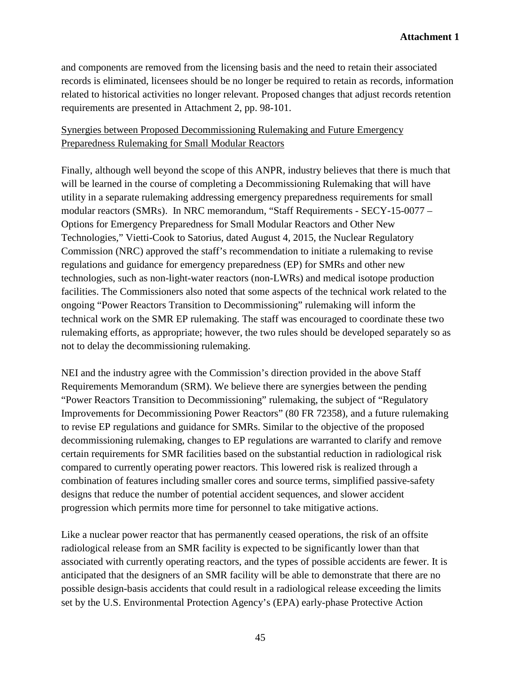and components are removed from the licensing basis and the need to retain their associated records is eliminated, licensees should be no longer be required to retain as records, information related to historical activities no longer relevant. Proposed changes that adjust records retention requirements are presented in Attachment 2, pp. 98-101.

#### Synergies between Proposed Decommissioning Rulemaking and Future Emergency Preparedness Rulemaking for Small Modular Reactors

Finally, although well beyond the scope of this ANPR, industry believes that there is much that will be learned in the course of completing a Decommissioning Rulemaking that will have utility in a separate rulemaking addressing emergency preparedness requirements for small modular reactors (SMRs). In NRC memorandum, "Staff Requirements - SECY-15-0077 – Options for Emergency Preparedness for Small Modular Reactors and Other New Technologies," Vietti-Cook to Satorius, dated August 4, 2015, the Nuclear Regulatory Commission (NRC) approved the staff's recommendation to initiate a rulemaking to revise regulations and guidance for emergency preparedness (EP) for SMRs and other new technologies, such as non-light-water reactors (non-LWRs) and medical isotope production facilities. The Commissioners also noted that some aspects of the technical work related to the ongoing "Power Reactors Transition to Decommissioning" rulemaking will inform the technical work on the SMR EP rulemaking. The staff was encouraged to coordinate these two rulemaking efforts, as appropriate; however, the two rules should be developed separately so as not to delay the decommissioning rulemaking.

NEI and the industry agree with the Commission's direction provided in the above Staff Requirements Memorandum (SRM). We believe there are synergies between the pending "Power Reactors Transition to Decommissioning" rulemaking, the subject of "Regulatory Improvements for Decommissioning Power Reactors" (80 FR 72358), and a future rulemaking to revise EP regulations and guidance for SMRs. Similar to the objective of the proposed decommissioning rulemaking, changes to EP regulations are warranted to clarify and remove certain requirements for SMR facilities based on the substantial reduction in radiological risk compared to currently operating power reactors. This lowered risk is realized through a combination of features including smaller cores and source terms, simplified passive-safety designs that reduce the number of potential accident sequences, and slower accident progression which permits more time for personnel to take mitigative actions.

Like a nuclear power reactor that has permanently ceased operations, the risk of an offsite radiological release from an SMR facility is expected to be significantly lower than that associated with currently operating reactors, and the types of possible accidents are fewer. It is anticipated that the designers of an SMR facility will be able to demonstrate that there are no possible design-basis accidents that could result in a radiological release exceeding the limits set by the U.S. Environmental Protection Agency's (EPA) early-phase Protective Action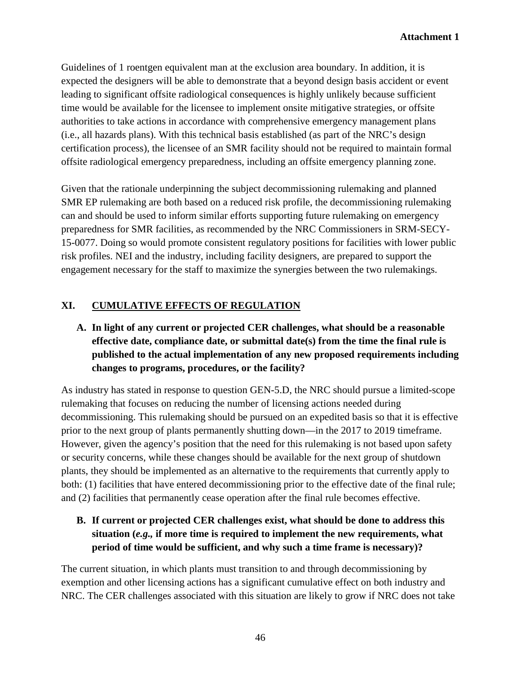Guidelines of 1 roentgen equivalent man at the exclusion area boundary. In addition, it is expected the designers will be able to demonstrate that a beyond design basis accident or event leading to significant offsite radiological consequences is highly unlikely because sufficient time would be available for the licensee to implement onsite mitigative strategies, or offsite authorities to take actions in accordance with comprehensive emergency management plans (i.e., all hazards plans). With this technical basis established (as part of the NRC's design certification process), the licensee of an SMR facility should not be required to maintain formal offsite radiological emergency preparedness, including an offsite emergency planning zone.

Given that the rationale underpinning the subject decommissioning rulemaking and planned SMR EP rulemaking are both based on a reduced risk profile, the decommissioning rulemaking can and should be used to inform similar efforts supporting future rulemaking on emergency preparedness for SMR facilities, as recommended by the NRC Commissioners in SRM-SECY-15-0077. Doing so would promote consistent regulatory positions for facilities with lower public risk profiles. NEI and the industry, including facility designers, are prepared to support the engagement necessary for the staff to maximize the synergies between the two rulemakings.

# **XI. CUMULATIVE EFFECTS OF REGULATION**

# **A. In light of any current or projected CER challenges, what should be a reasonable effective date, compliance date, or submittal date(s) from the time the final rule is published to the actual implementation of any new proposed requirements including changes to programs, procedures, or the facility?**

As industry has stated in response to question GEN-5.D, the NRC should pursue a limited-scope rulemaking that focuses on reducing the number of licensing actions needed during decommissioning. This rulemaking should be pursued on an expedited basis so that it is effective prior to the next group of plants permanently shutting down—in the 2017 to 2019 timeframe. However, given the agency's position that the need for this rulemaking is not based upon safety or security concerns, while these changes should be available for the next group of shutdown plants, they should be implemented as an alternative to the requirements that currently apply to both: (1) facilities that have entered decommissioning prior to the effective date of the final rule; and (2) facilities that permanently cease operation after the final rule becomes effective.

# **B. If current or projected CER challenges exist, what should be done to address this situation (***e.g.,* **if more time is required to implement the new requirements, what period of time would be sufficient, and why such a time frame is necessary)?**

The current situation, in which plants must transition to and through decommissioning by exemption and other licensing actions has a significant cumulative effect on both industry and NRC. The CER challenges associated with this situation are likely to grow if NRC does not take